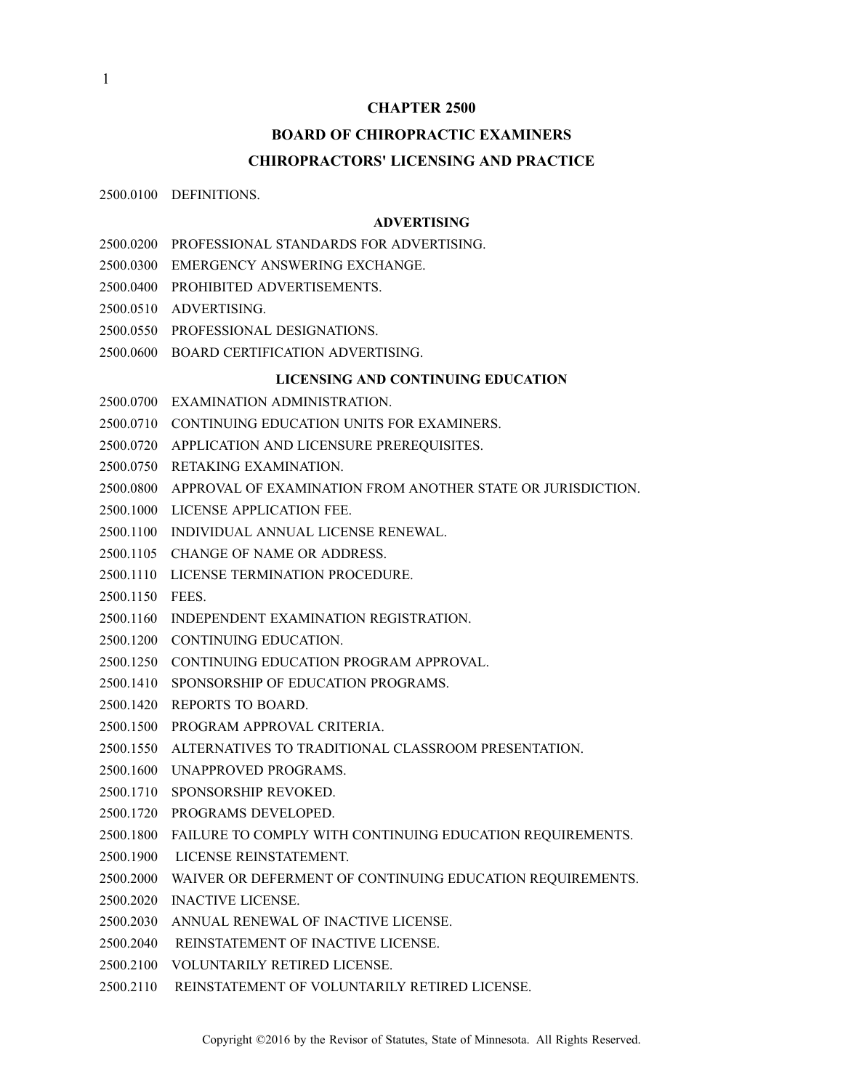#### **CHAPTER 2500**

# **BOARD OF CHIROPRACTIC EXAMINERS CHIROPRACTORS' LICENSING AND PRACTICE**

2500.0100 DEFINITIONS.

#### **ADVERTISING**

- 2500.0200 PROFESSIONAL STANDARDS FOR ADVERTISING.
- 2500.0300 EMERGENCY ANSWERING EXCHANGE.
- 2500.0400 PROHIBITED ADVERTISEMENTS.
- 2500.0510 ADVERTISING.
- 2500.0550 PROFESSIONAL DESIGNATIONS.
- 2500.0600 BOARD CERTIFICATION ADVERTISING.

#### **LICENSING AND CONTINUING EDUCATION**

- 2500.0700 EXAMINATION ADMINISTRATION.
- 2500.0710 CONTINUING EDUCATION UNITS FOR EXAMINERS.
- 2500.0720 APPLICATION AND LICENSURE PREREQUISITES.
- 2500.0750 RETAKING EXAMINATION.
- 2500.0800 APPROVAL OF EXAMINATION FROM ANOTHER STATE OR JURISDICTION.
- 2500.1000 LICENSE APPLICATION FEE.
- 2500.1100 INDIVIDUAL ANNUAL LICENSE RENEWAL.
- 2500.1105 CHANGE OF NAME OR ADDRESS.
- 2500.1110 LICENSE TERMINATION PROCEDURE.
- 2500.1150 FEES.
- 2500.1160 INDEPENDENT EXAMINATION REGISTRATION.
- 2500.1200 CONTINUING EDUCATION.
- 2500.1250 CONTINUING EDUCATION PROGRAM APPROVAL.
- 2500.1410 SPONSORSHIP OF EDUCATION PROGRAMS.
- 2500.1420 REPORTS TO BOARD.
- 2500.1500 PROGRAM APPROVAL CRITERIA.
- 2500.1550 ALTERNATIVES TO TRADITIONAL CLASSROOM PRESENTATION.
- 2500.1600 UNAPPROVED PROGRAMS.
- 2500.1710 SPONSORSHIP REVOKED.
- 2500.1720 PROGRAMS DEVELOPED.
- 2500.1800 FAILURE TO COMPLY WITH CONTINUING EDUCATION REQUIREMENTS.
- 2500.1900 LICENSE REINSTATEMENT.
- 2500.2000 WAIVER OR DEFERMENT OF CONTINUING EDUCATION REQUIREMENTS.
- 2500.2020 INACTIVE LICENSE.
- 2500.2030 ANNUAL RENEWAL OF INACTIVE LICENSE.
- 2500.2040 REINSTATEMENT OF INACTIVE LICENSE.
- 2500.2100 VOLUNTARILY RETIRED LICENSE.
- 2500.2110 REINSTATEMENT OF VOLUNTARILY RETIRED LICENSE.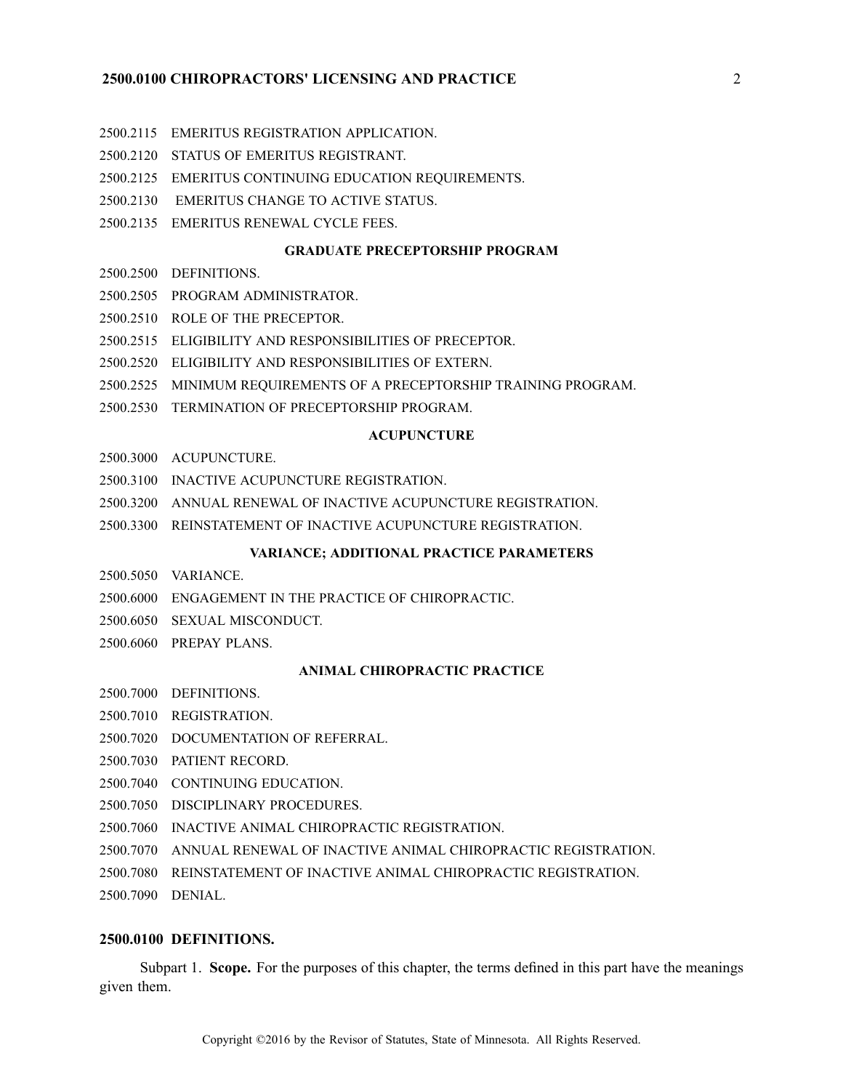### **2500.0100 CHIROPRACTORS' LICENSING AND PRACTICE** 2

- 2500.2115 EMERITUS REGISTRATION APPLICATION.
- 2500.2120 STATUS OF EMERITUS REGISTRANT.
- 2500.2125 EMERITUS CONTINUING EDUCATION REQUIREMENTS.
- 2500.2130 EMERITUS CHANGE TO ACTIVE STATUS.
- 2500.2135 EMERITUS RENEWAL CYCLE FEES.

#### **GRADUATE PRECEPTORSHIP PROGRAM**

- 2500.2500 DEFINITIONS.
- 2500.2505 PROGRAM ADMINISTRATOR.
- 2500.2510 ROLE OF THE PRECEPTOR.
- 2500.2515 ELIGIBILITY AND RESPONSIBILITIES OF PRECEPTOR.
- 2500.2520 ELIGIBILITY AND RESPONSIBILITIES OF EXTERN.
- 2500.2525 MINIMUM REQUIREMENTS OF A PRECEPTORSHIP TRAINING PROGRAM.
- 2500.2530 TERMINATION OF PRECEPTORSHIP PROGRAM.

#### **ACUPUNCTURE**

- 2500.3000 ACUPUNCTURE.
- 2500.3100 INACTIVE ACUPUNCTURE REGISTRATION.
- 2500.3200 ANNUAL RENEWAL OF INACTIVE ACUPUNCTURE REGISTRATION.
- 2500.3300 REINSTATEMENT OF INACTIVE ACUPUNCTURE REGISTRATION.

#### **VARIANCE; ADDITIONAL PRACTICE PARAMETERS**

- 2500.5050 VARIANCE.
- 2500.6000 ENGAGEMENT IN THE PRACTICE OF CHIROPRACTIC.
- 2500.6050 SEXUAL MISCONDUCT.
- 2500.6060 PREPAY PLANS.

#### **ANIMAL CHIROPRACTIC PRACTICE**

- 2500.7000 DEFINITIONS.
- 2500.7010 REGISTRATION.
- 2500.7020 DOCUMENTATION OF REFERRAL.
- 2500.7030 PATIENT RECORD.
- 2500.7040 CONTINUING EDUCATION.
- 2500.7050 DISCIPLINARY PROCEDURES.
- 2500.7060 INACTIVE ANIMAL CHIROPRACTIC REGISTRATION.
- 2500.7070 ANNUAL RENEWAL OF INACTIVE ANIMAL CHIROPRACTIC REGISTRATION.
- 2500.7080 REINSTATEMENT OF INACTIVE ANIMAL CHIROPRACTIC REGISTRATION.
- 2500.7090 DENIAL.

### **2500.0100 DEFINITIONS.**

Subpart 1. **Scope.** For the purposes of this chapter, the terms defined in this par<sup>t</sup> have the meanings given them.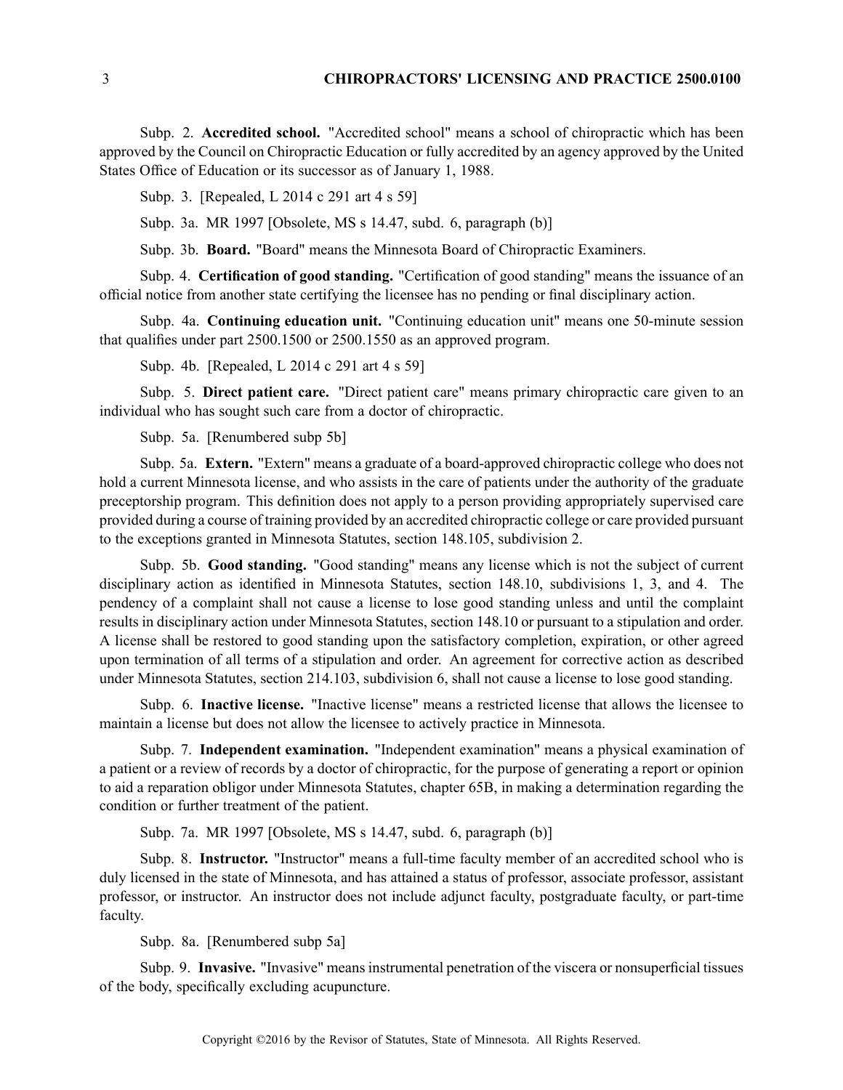Subp. 2. **Accredited school.** "Accredited school" means <sup>a</sup> school of chiropractic which has been approved by the Council on Chiropractic Education or fully accredited by an agency approved by the United States Office of Education or its successor as of January 1, 1988.

Subp. 3. [Repealed, L 2014 <sup>c</sup> 291 art 4 <sup>s</sup> 59]

Subp. 3a. MR 1997 [Obsolete, MS <sup>s</sup> 14.47, subd. 6, paragraph (b)]

Subp. 3b. **Board.** "Board" means the Minnesota Board of Chiropractic Examiners.

Subp. 4. **Certification of good standing.** "Certification of good standing" means the issuance of an official notice from another state certifying the licensee has no pending or final disciplinary action.

Subp. 4a. **Continuing education unit.** "Continuing education unit" means one 50-minute session that qualifies under par<sup>t</sup> 2500.1500 or 2500.1550 as an approved program.

Subp. 4b. [Repealed, L 2014 <sup>c</sup> 291 art 4 <sup>s</sup> 59]

Subp. 5. **Direct patient care.** "Direct patient care" means primary chiropractic care given to an individual who has sought such care from <sup>a</sup> doctor of chiropractic.

Subp. 5a. [Renumbered subp 5b]

Subp. 5a. **Extern.** "Extern" means <sup>a</sup> graduate of <sup>a</sup> board-approved chiropractic college who does not hold <sup>a</sup> current Minnesota license, and who assists in the care of patients under the authority of the graduate preceptorship program. This definition does not apply to <sup>a</sup> person providing appropriately supervised care provided during <sup>a</sup> course of training provided by an accredited chiropractic college or care provided pursuan<sup>t</sup> to the exceptions granted in Minnesota Statutes, section 148.105, subdivision 2.

Subp. 5b. **Good standing.** "Good standing" means any license which is not the subject of current disciplinary action as identified in Minnesota Statutes, section 148.10, subdivisions 1, 3, and 4. The pendency of <sup>a</sup> complaint shall not cause <sup>a</sup> license to lose good standing unless and until the complaint results in disciplinary action under Minnesota Statutes, section 148.10 or pursuan<sup>t</sup> to <sup>a</sup> stipulation and order. A license shall be restored to good standing upon the satisfactory completion, expiration, or other agreed upon termination of all terms of <sup>a</sup> stipulation and order. An agreemen<sup>t</sup> for corrective action as described under Minnesota Statutes, section 214.103, subdivision 6, shall not cause <sup>a</sup> license to lose good standing.

Subp. 6. **Inactive license.** "Inactive license" means <sup>a</sup> restricted license that allows the licensee to maintain <sup>a</sup> license but does not allow the licensee to actively practice in Minnesota.

Subp. 7. **Independent examination.** "Independent examination" means <sup>a</sup> physical examination of <sup>a</sup> patient or <sup>a</sup> review of records by <sup>a</sup> doctor of chiropractic, for the purpose of generating <sup>a</sup> repor<sup>t</sup> or opinion to aid <sup>a</sup> reparation obligor under Minnesota Statutes, chapter 65B, in making <sup>a</sup> determination regarding the condition or further treatment of the patient.

Subp. 7a. MR 1997 [Obsolete, MS <sup>s</sup> 14.47, subd. 6, paragraph (b)]

Subp. 8. **Instructor.** "Instructor" means <sup>a</sup> full-time faculty member of an accredited school who is duly licensed in the state of Minnesota, and has attained <sup>a</sup> status of professor, associate professor, assistant professor, or instructor. An instructor does not include adjunct faculty, postgraduate faculty, or part-time faculty.

Subp. 8a. [Renumbered subp 5a]

Subp. 9. **Invasive.** "Invasive" meansinstrumental penetration of the viscera or nonsuperficial tissues of the body, specifically excluding acupuncture.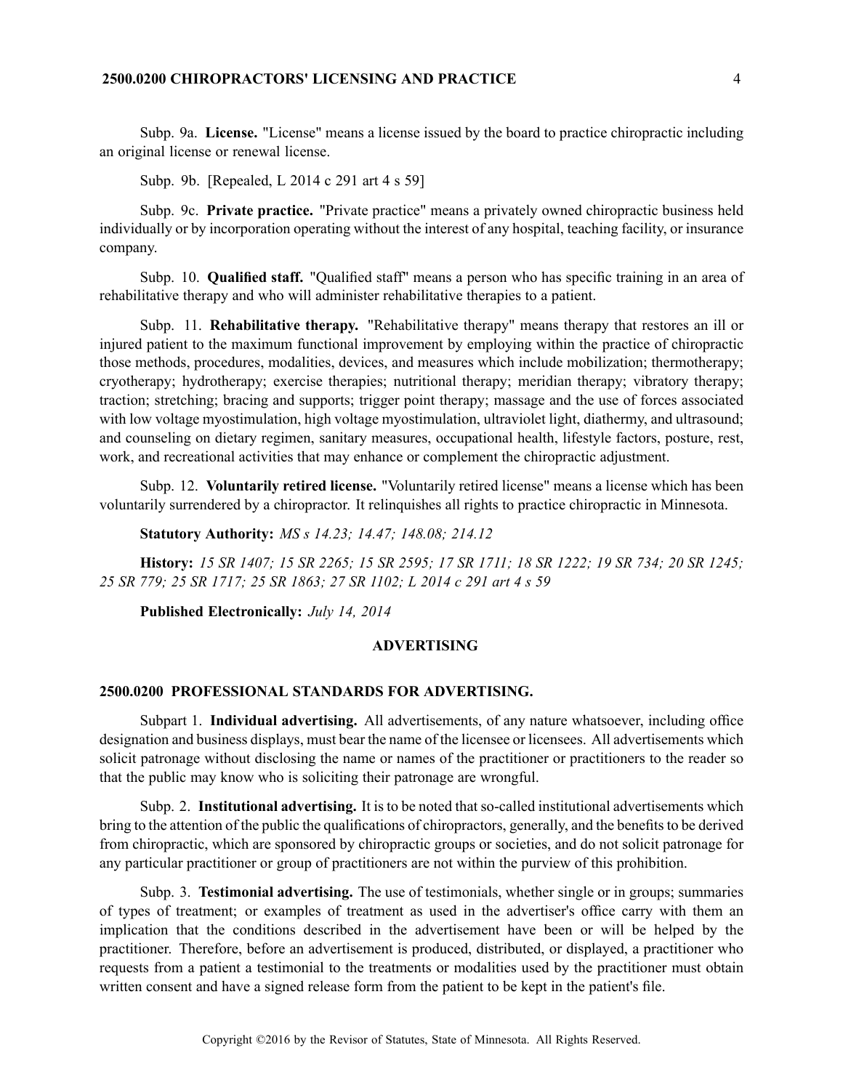# **2500.0200 CHIROPRACTORS' LICENSING AND PRACTICE** 4

Subp. 9a. **License.** "License" means <sup>a</sup> license issued by the board to practice chiropractic including an original license or renewal license.

Subp. 9b. [Repealed, L 2014 <sup>c</sup> 291 art 4 <sup>s</sup> 59]

Subp. 9c. **Private practice.** "Private practice" means <sup>a</sup> privately owned chiropractic business held individually or by incorporation operating without the interest of any hospital, teaching facility, or insurance company.

Subp. 10. **Qualified staff.** "Qualified staff" means <sup>a</sup> person who has specific training in an area of rehabilitative therapy and who will administer rehabilitative therapies to <sup>a</sup> patient.

Subp. 11. **Rehabilitative therapy.** "Rehabilitative therapy" means therapy that restores an ill or injured patient to the maximum functional improvement by employing within the practice of chiropractic those methods, procedures, modalities, devices, and measures which include mobilization; thermotherapy; cryotherapy; hydrotherapy; exercise therapies; nutritional therapy; meridian therapy; vibratory therapy; traction; stretching; bracing and supports; trigger point therapy; massage and the use of forces associated with low voltage myostimulation, high voltage myostimulation, ultraviolet light, diathermy, and ultrasound; and counseling on dietary regimen, sanitary measures, occupational health, lifestyle factors, posture, rest, work, and recreational activities that may enhance or complement the chiropractic adjustment.

Subp. 12. **Voluntarily retired license.** "Voluntarily retired license" means <sup>a</sup> license which has been voluntarily surrendered by <sup>a</sup> chiropractor. It relinquishes all rights to practice chiropractic in Minnesota.

**Statutory Authority:** *MS <sup>s</sup> 14.23; 14.47; 148.08; 214.12*

**History:** 15 SR 1407; 15 SR 2265; 15 SR 2595; 17 SR 1711; 18 SR 1222; 19 SR 734; 20 SR 1245; *25 SR 779; 25 SR 1717; 25 SR 1863; 27 SR 1102; L 2014 <sup>c</sup> 291 art 4 <sup>s</sup> 59*

**Published Electronically:** *July 14, 2014*

#### **ADVERTISING**

# **2500.0200 PROFESSIONAL STANDARDS FOR ADVERTISING.**

Subpart 1. **Individual advertising.** All advertisements, of any nature whatsoever, including office designation and business displays, must bear the name of the licensee or licensees. All advertisements which solicit patronage without disclosing the name or names of the practitioner or practitioners to the reader so that the public may know who is soliciting their patronage are wrongful.

Subp. 2. **Institutional advertising.** It is to be noted that so-called institutional advertisements which bring to the attention of the public the qualifications of chiropractors, generally, and the benefits to be derived from chiropractic, which are sponsored by chiropractic groups or societies, and do not solicit patronage for any particular practitioner or group of practitioners are not within the purview of this prohibition.

Subp. 3. **Testimonial advertising.** The use of testimonials, whether single or in groups; summaries of types of treatment; or examples of treatment as used in the advertiser's office carry with them an implication that the conditions described in the advertisement have been or will be helped by the practitioner. Therefore, before an advertisement is produced, distributed, or displayed, <sup>a</sup> practitioner who requests from <sup>a</sup> patient <sup>a</sup> testimonial to the treatments or modalities used by the practitioner must obtain written consent and have <sup>a</sup> signed release form from the patient to be kept in the patient's file.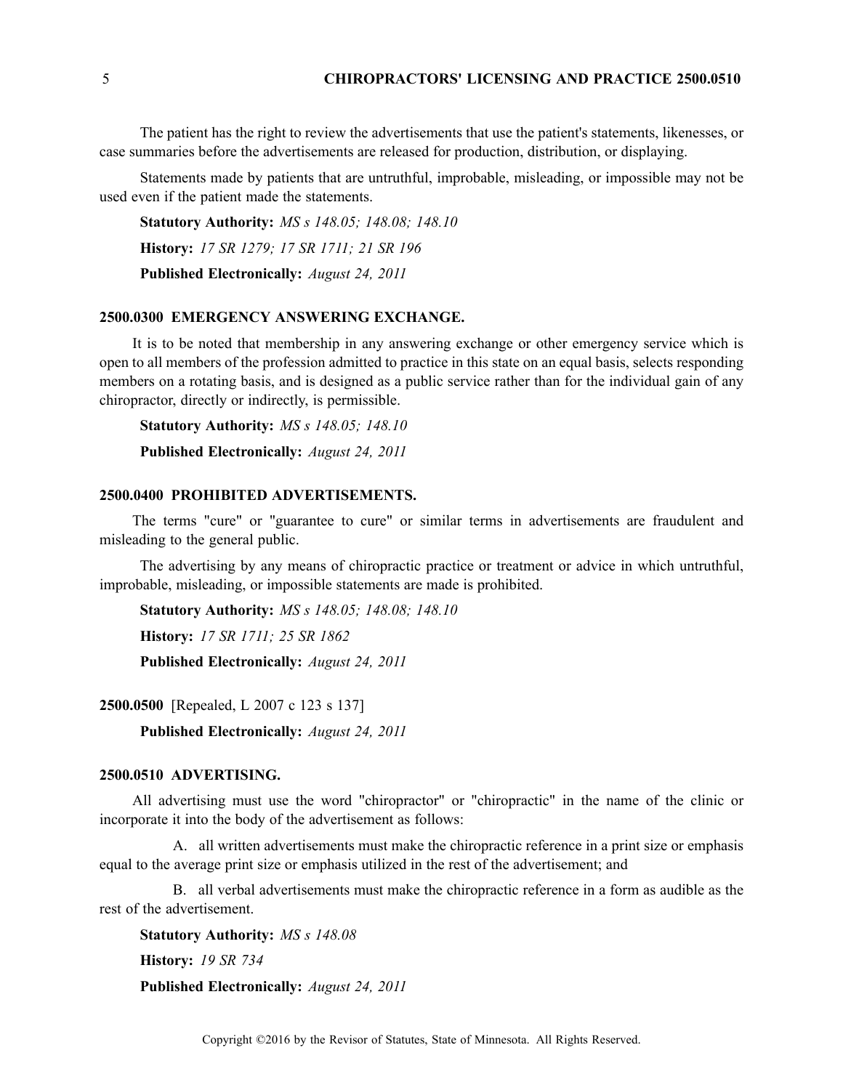The patient has the right to review the advertisements that use the patient's statements, likenesses, or case summaries before the advertisements are released for production, distribution, or displaying.

Statements made by patients that are untruthful, improbable, misleading, or impossible may not be used even if the patient made the statements.

**Statutory Authority:** *MS <sup>s</sup> 148.05; 148.08; 148.10* **History:** *17 SR 1279; 17 SR 1711; 21 SR 196* **Published Electronically:** *August 24, 2011*

# **2500.0300 EMERGENCY ANSWERING EXCHANGE.**

It is to be noted that membership in any answering exchange or other emergency service which is open to all members of the profession admitted to practice in this state on an equal basis, selects responding members on <sup>a</sup> rotating basis, and is designed as <sup>a</sup> public service rather than for the individual gain of any chiropractor, directly or indirectly, is permissible.

**Statutory Authority:** *MS <sup>s</sup> 148.05; 148.10* **Published Electronically:** *August 24, 2011*

#### **2500.0400 PROHIBITED ADVERTISEMENTS.**

The terms "cure" or "guarantee to cure" or similar terms in advertisements are fraudulent and misleading to the general public.

The advertising by any means of chiropractic practice or treatment or advice in which untruthful, improbable, misleading, or impossible statements are made is prohibited.

**Statutory Authority:** *MS <sup>s</sup> 148.05; 148.08; 148.10* **History:** *17 SR 1711; 25 SR 1862* **Published Electronically:** *August 24, 2011*

**2500.0500** [Repealed, L 2007 <sup>c</sup> 123 <sup>s</sup> 137]

**Published Electronically:** *August 24, 2011*

# **2500.0510 ADVERTISING.**

All advertising must use the word "chiropractor" or "chiropractic" in the name of the clinic or incorporate it into the body of the advertisement as follows:

A. all written advertisements must make the chiropractic reference in <sup>a</sup> print size or emphasis equal to the average print size or emphasis utilized in the rest of the advertisement; and

B. all verbal advertisements must make the chiropractic reference in <sup>a</sup> form as audible as the rest of the advertisement.

**Statutory Authority:** *MS <sup>s</sup> 148.08* **History:** *19 SR 734*

**Published Electronically:** *August 24, 2011*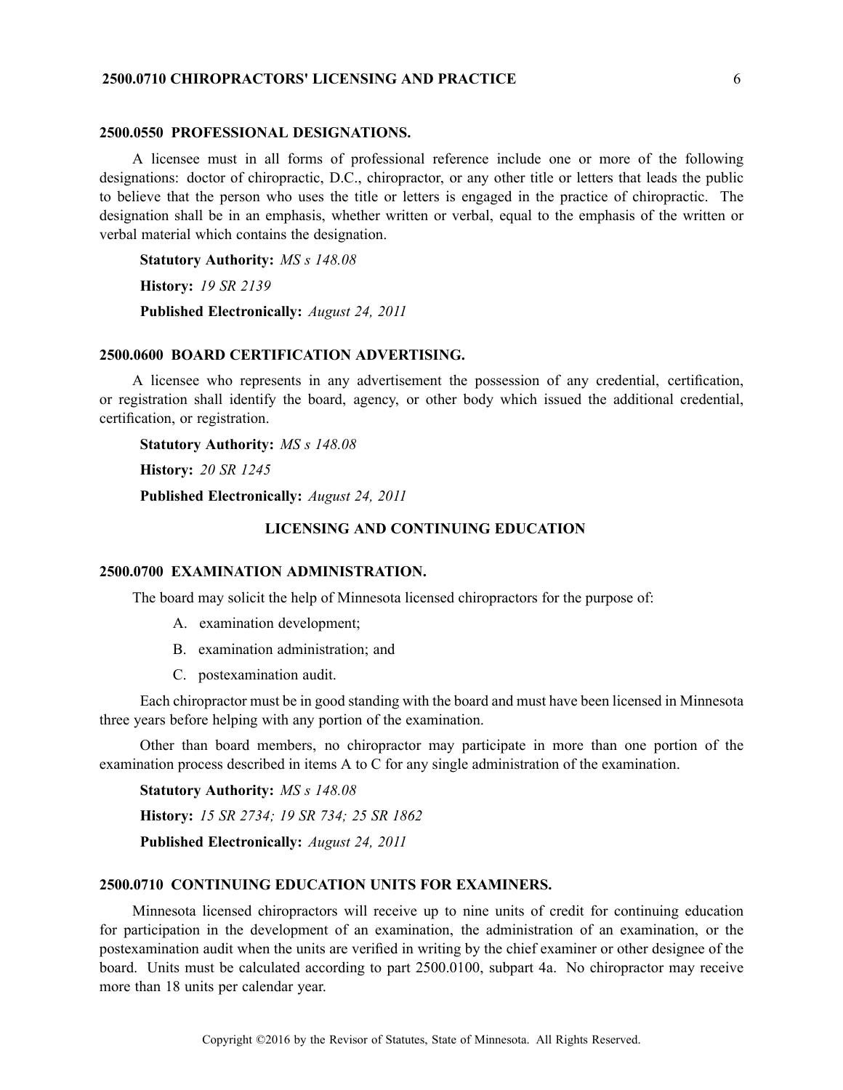# **2500.0710 CHIROPRACTORS' LICENSING AND PRACTICE** 6

#### **2500.0550 PROFESSIONAL DESIGNATIONS.**

A licensee must in all forms of professional reference include one or more of the following designations: doctor of chiropractic, D.C., chiropractor, or any other title or letters that leads the public to believe that the person who uses the title or letters is engaged in the practice of chiropractic. The designation shall be in an emphasis, whether written or verbal, equal to the emphasis of the written or verbal material which contains the designation.

**Statutory Authority:** *MS <sup>s</sup> 148.08*

**History:** *19 SR 2139*

**Published Electronically:** *August 24, 2011*

### **2500.0600 BOARD CERTIFICATION ADVERTISING.**

A licensee who represents in any advertisement the possession of any credential, certification, or registration shall identify the board, agency, or other body which issued the additional credential, certification, or registration.

**Statutory Authority:** *MS <sup>s</sup> 148.08*

**History:** *20 SR 1245*

**Published Electronically:** *August 24, 2011*

#### **LICENSING AND CONTINUING EDUCATION**

#### **2500.0700 EXAMINATION ADMINISTRATION.**

The board may solicit the help of Minnesota licensed chiropractors for the purpose of:

- A. examination development;
- B. examination administration; and
- C. postexamination audit.

Each chiropractor must be in good standing with the board and must have been licensed in Minnesota three years before helping with any portion of the examination.

Other than board members, no chiropractor may participate in more than one portion of the examination process described in items A to C for any single administration of the examination.

**Statutory Authority:** *MS <sup>s</sup> 148.08*

**History:** *15 SR 2734; 19 SR 734; 25 SR 1862*

**Published Electronically:** *August 24, 2011*

### **2500.0710 CONTINUING EDUCATION UNITS FOR EXAMINERS.**

Minnesota licensed chiropractors will receive up to nine units of credit for continuing education for participation in the development of an examination, the administration of an examination, or the postexamination audit when the units are verified in writing by the chief examiner or other designee of the board. Units must be calculated according to par<sup>t</sup> 2500.0100, subpart 4a. No chiropractor may receive more than 18 units per calendar year.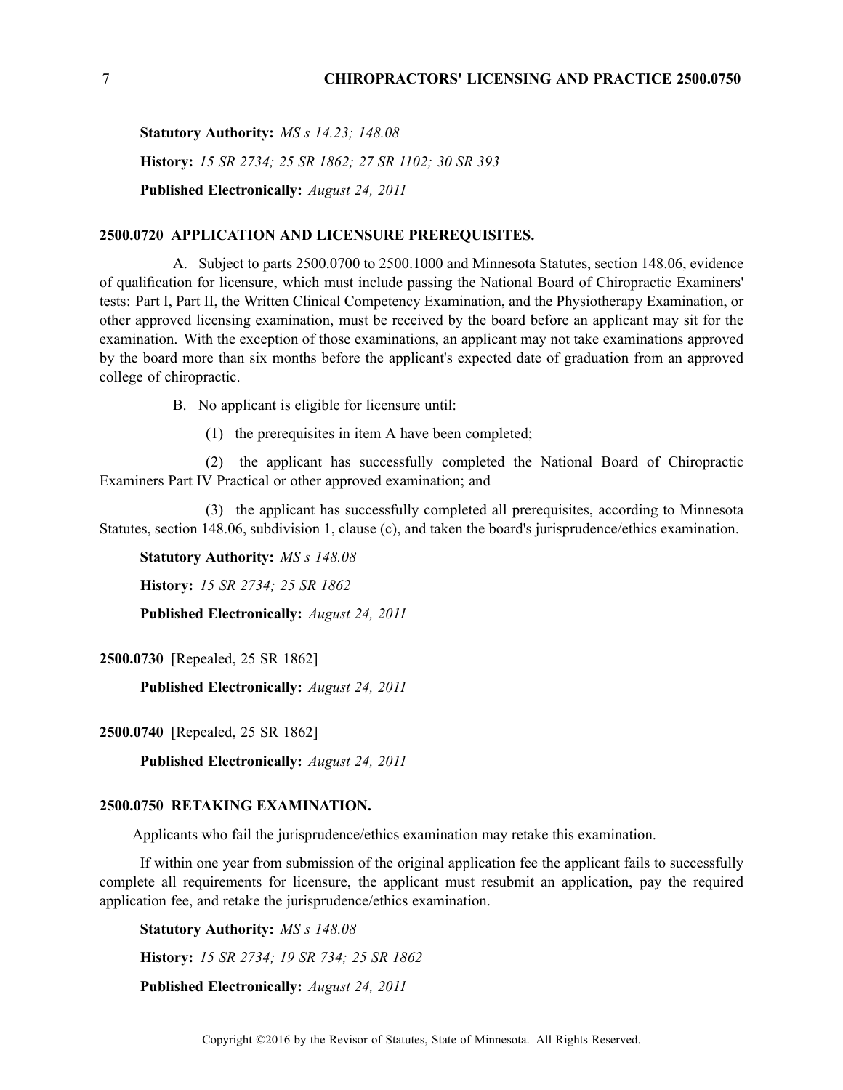**Statutory Authority:** *MS <sup>s</sup> 14.23; 148.08* **History:** *15 SR 2734; 25 SR 1862; 27 SR 1102; 30 SR 393* **Published Electronically:** *August 24, 2011*

# **2500.0720 APPLICATION AND LICENSURE PREREQUISITES.**

A. Subject to parts 2500.0700 to 2500.1000 and Minnesota Statutes, section 148.06, evidence of qualification for licensure, which must include passing the National Board of Chiropractic Examiners' tests: Part I, Part II, the Written Clinical Competency Examination, and the Physiotherapy Examination, or other approved licensing examination, must be received by the board before an applicant may sit for the examination. With the exception of those examinations, an applicant may not take examinations approved by the board more than six months before the applicant's expected date of graduation from an approved college of chiropractic.

B. No applicant is eligible for licensure until:

(1) the prerequisites in item A have been completed;

(2) the applicant has successfully completed the National Board of Chiropractic Examiners Part IV Practical or other approved examination; and

(3) the applicant has successfully completed all prerequisites, according to Minnesota Statutes, section 148.06, subdivision 1, clause (c), and taken the board's jurisprudence/ethics examination.

**Statutory Authority:** *MS <sup>s</sup> 148.08*

**History:** *15 SR 2734; 25 SR 1862*

**Published Electronically:** *August 24, 2011*

**2500.0730** [Repealed, 25 SR 1862]

**Published Electronically:** *August 24, 2011*

**2500.0740** [Repealed, 25 SR 1862]

**Published Electronically:** *August 24, 2011*

#### **2500.0750 RETAKING EXAMINATION.**

Applicants who fail the jurisprudence/ethics examination may retake this examination.

If within one year from submission of the original application fee the applicant fails to successfully complete all requirements for licensure, the applicant must resubmit an application, pay the required application fee, and retake the jurisprudence/ethics examination.

**Statutory Authority:** *MS <sup>s</sup> 148.08*

**History:** *15 SR 2734; 19 SR 734; 25 SR 1862*

**Published Electronically:** *August 24, 2011*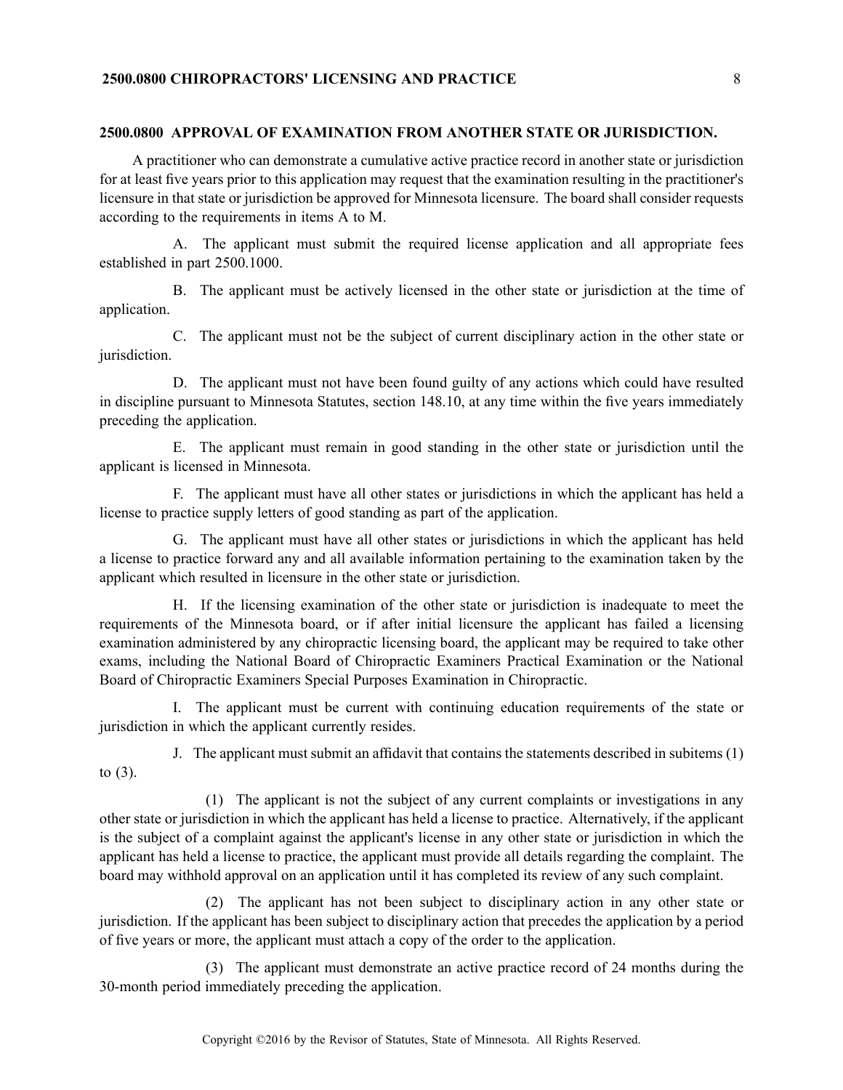#### **2500.0800 APPROVAL OF EXAMINATION FROM ANOTHER STATE OR JURISDICTION.**

A practitioner who can demonstrate <sup>a</sup> cumulative active practice record in another state or jurisdiction for at least five years prior to this application may reques<sup>t</sup> that the examination resulting in the practitioner's licensure in that state or jurisdiction be approved for Minnesota licensure. The board shall consider requests according to the requirements in items A to M.

A. The applicant must submit the required license application and all appropriate fees established in par<sup>t</sup> 2500.1000.

B. The applicant must be actively licensed in the other state or jurisdiction at the time of application.

C. The applicant must not be the subject of current disciplinary action in the other state or jurisdiction.

D. The applicant must not have been found guilty of any actions which could have resulted in discipline pursuan<sup>t</sup> to Minnesota Statutes, section 148.10, at any time within the five years immediately preceding the application.

E. The applicant must remain in good standing in the other state or jurisdiction until the applicant is licensed in Minnesota.

F. The applicant must have all other states or jurisdictions in which the applicant has held <sup>a</sup> license to practice supply letters of good standing as par<sup>t</sup> of the application.

G. The applicant must have all other states or jurisdictions in which the applicant has held <sup>a</sup> license to practice forward any and all available information pertaining to the examination taken by the applicant which resulted in licensure in the other state or jurisdiction.

H. If the licensing examination of the other state or jurisdiction is inadequate to meet the requirements of the Minnesota board, or if after initial licensure the applicant has failed <sup>a</sup> licensing examination administered by any chiropractic licensing board, the applicant may be required to take other exams, including the National Board of Chiropractic Examiners Practical Examination or the National Board of Chiropractic Examiners Special Purposes Examination in Chiropractic.

I. The applicant must be current with continuing education requirements of the state or jurisdiction in which the applicant currently resides.

to  $(3)$ .

J. The applicant must submit an affidavit that contains the statements described in subitems (1)

(1) The applicant is not the subject of any current complaints or investigations in any other state or jurisdiction in which the applicant has held <sup>a</sup> license to practice. Alternatively, if the applicant is the subject of <sup>a</sup> complaint against the applicant's license in any other state or jurisdiction in which the applicant has held <sup>a</sup> license to practice, the applicant must provide all details regarding the complaint. The board may withhold approval on an application until it has completed its review of any such complaint.

(2) The applicant has not been subject to disciplinary action in any other state or jurisdiction. If the applicant has been subject to disciplinary action that precedes the application by <sup>a</sup> period of five years or more, the applicant must attach <sup>a</sup> copy of the order to the application.

(3) The applicant must demonstrate an active practice record of 24 months during the 30-month period immediately preceding the application.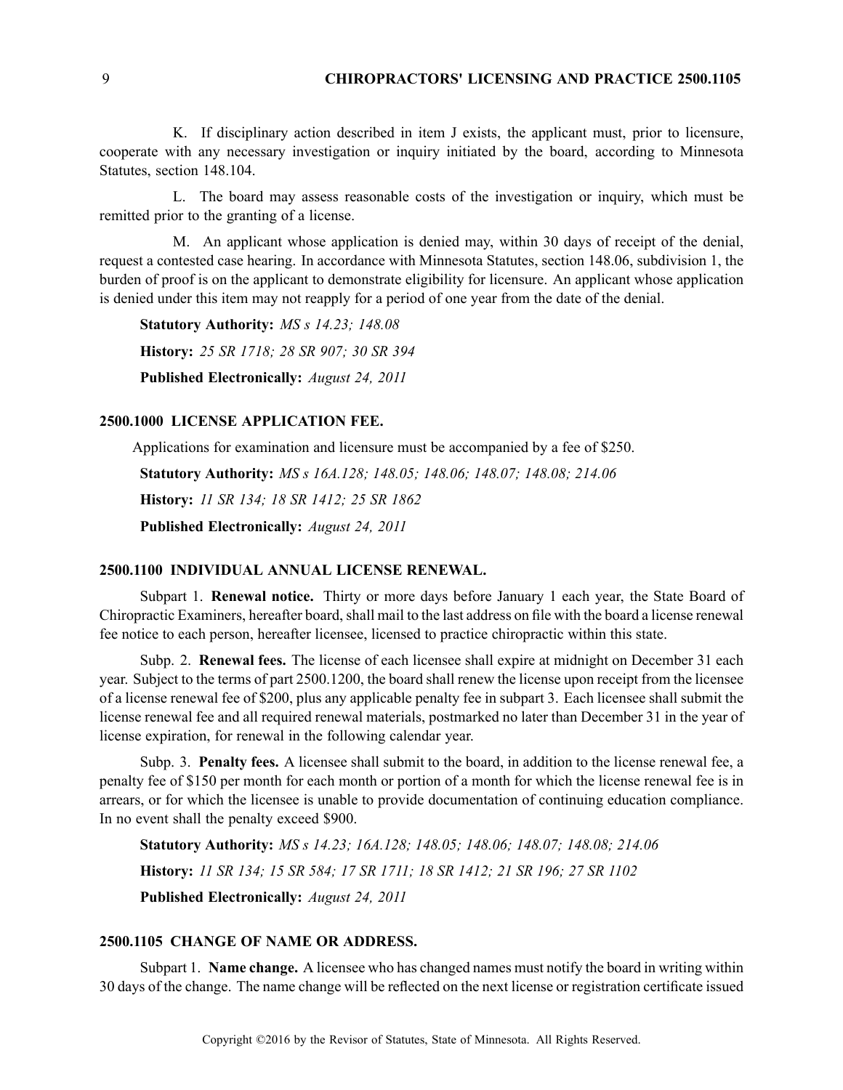### 9 **CHIROPRACTORS' LICENSING AND PRACTICE 2500.1105**

K. If disciplinary action described in item J exists, the applicant must, prior to licensure, cooperate with any necessary investigation or inquiry initiated by the board, according to Minnesota Statutes, section 148.104.

L. The board may assess reasonable costs of the investigation or inquiry, which must be remitted prior to the granting of <sup>a</sup> license.

M. An applicant whose application is denied may, within 30 days of receipt of the denial, reques<sup>t</sup> <sup>a</sup> contested case hearing. In accordance with Minnesota Statutes, section 148.06, subdivision 1, the burden of proof is on the applicant to demonstrate eligibility for licensure. An applicant whose application is denied under this item may not reapply for <sup>a</sup> period of one year from the date of the denial.

**Statutory Authority:** *MS <sup>s</sup> 14.23; 148.08* **History:** *25 SR 1718; 28 SR 907; 30 SR 394* **Published Electronically:** *August 24, 2011*

#### **2500.1000 LICENSE APPLICATION FEE.**

Applications for examination and licensure must be accompanied by <sup>a</sup> fee of \$250.

**Statutory Authority:** *MS <sup>s</sup> 16A.128; 148.05; 148.06; 148.07; 148.08; 214.06* **History:** *11 SR 134; 18 SR 1412; 25 SR 1862* **Published Electronically:** *August 24, 2011*

#### **2500.1100 INDIVIDUAL ANNUAL LICENSE RENEWAL.**

Subpart 1. **Renewal notice.** Thirty or more days before January 1 each year, the State Board of Chiropractic Examiners, hereafter board, shall mail to the last address on file with the board <sup>a</sup> license renewal fee notice to each person, hereafter licensee, licensed to practice chiropractic within this state.

Subp. 2. **Renewal fees.** The license of each licensee shall expire at midnight on December 31 each year. Subject to the terms of par<sup>t</sup> 2500.1200, the board shall renew the license upon receipt from the licensee of <sup>a</sup> license renewal fee of \$200, plus any applicable penalty fee in subpart 3. Each licensee shall submit the license renewal fee and all required renewal materials, postmarked no later than December 31 in the year of license expiration, for renewal in the following calendar year.

Subp. 3. **Penalty fees.** A licensee shall submit to the board, in addition to the license renewal fee, <sup>a</sup> penalty fee of \$150 per month for each month or portion of <sup>a</sup> month for which the license renewal fee is in arrears, or for which the licensee is unable to provide documentation of continuing education compliance. In no event shall the penalty exceed \$900.

**Statutory Authority:** *MS <sup>s</sup> 14.23; 16A.128; 148.05; 148.06; 148.07; 148.08; 214.06* **History:** *11 SR 134; 15 SR 584; 17 SR 1711; 18 SR 1412; 21 SR 196; 27 SR 1102* **Published Electronically:** *August 24, 2011*

# **2500.1105 CHANGE OF NAME OR ADDRESS.**

Subpart 1. **Name change.** A licensee who has changed names must notify the board in writing within 30 days of the change. The name change will be reflected on the next license or registration certificate issued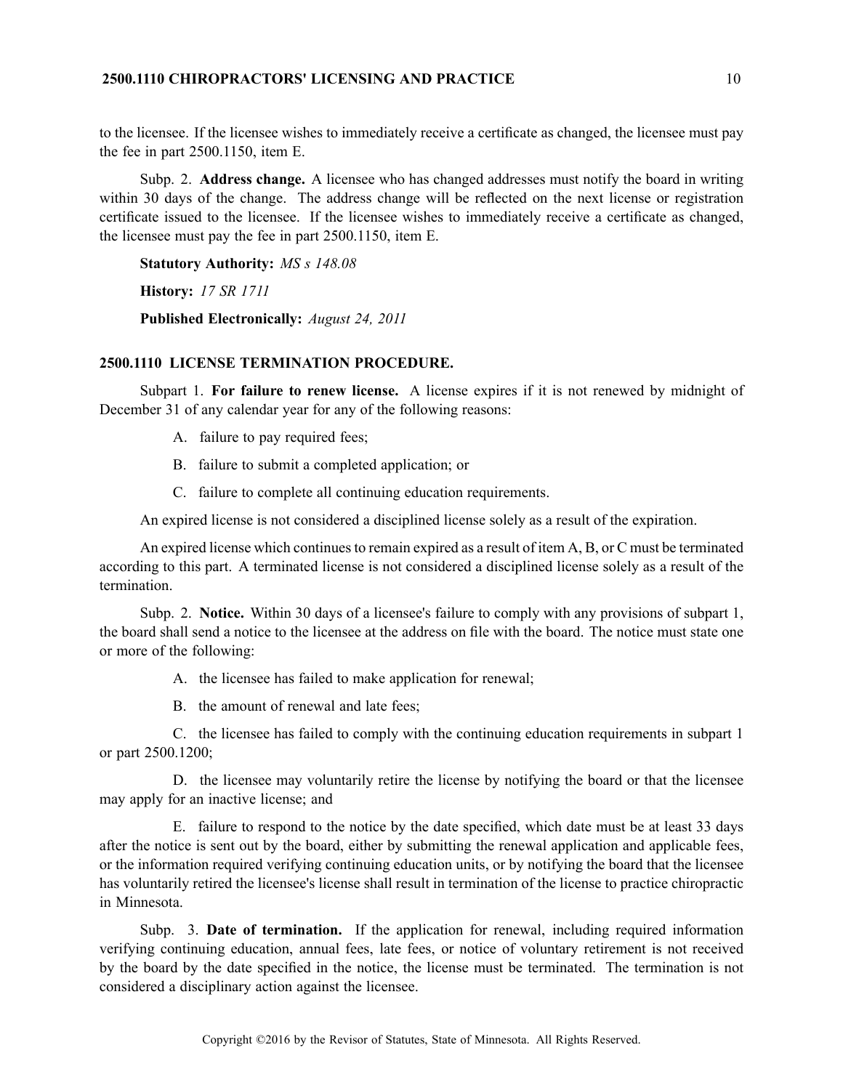# **2500.1110 CHIROPRACTORS' LICENSING AND PRACTICE** 10

to the licensee. If the licensee wishes to immediately receive <sup>a</sup> certificate as changed, the licensee must pay the fee in par<sup>t</sup> 2500.1150, item E.

Subp. 2. **Address change.** A licensee who has changed addresses must notify the board in writing within 30 days of the change. The address change will be reflected on the next license or registration certificate issued to the licensee. If the licensee wishes to immediately receive <sup>a</sup> certificate as changed, the licensee must pay the fee in par<sup>t</sup> 2500.1150, item E.

**Statutory Authority:** *MS <sup>s</sup> 148.08*

**History:** *17 SR 1711*

**Published Electronically:** *August 24, 2011*

# **2500.1110 LICENSE TERMINATION PROCEDURE.**

Subpart 1. **For failure to renew license.** A license expires if it is not renewed by midnight of December 31 of any calendar year for any of the following reasons:

- A. failure to pay required fees;
- B. failure to submit <sup>a</sup> completed application; or
- C. failure to complete all continuing education requirements.

An expired license is not considered <sup>a</sup> disciplined license solely as <sup>a</sup> result of the expiration.

An expired license which continues to remain expired as a result of item A, B, or C must be terminated according to this part. A terminated license is not considered <sup>a</sup> disciplined license solely as <sup>a</sup> result of the termination.

Subp. 2. **Notice.** Within 30 days of <sup>a</sup> licensee's failure to comply with any provisions of subpart 1, the board shall send <sup>a</sup> notice to the licensee at the address on file with the board. The notice must state one or more of the following:

A. the licensee has failed to make application for renewal;

B. the amount of renewal and late fees;

C. the licensee has failed to comply with the continuing education requirements in subpart 1 or par<sup>t</sup> 2500.1200;

D. the licensee may voluntarily retire the license by notifying the board or that the licensee may apply for an inactive license; and

E. failure to respond to the notice by the date specified, which date must be at least 33 days after the notice is sent out by the board, either by submitting the renewal application and applicable fees, or the information required verifying continuing education units, or by notifying the board that the licensee has voluntarily retired the licensee's license shall result in termination of the license to practice chiropractic in Minnesota.

Subp. 3. **Date of termination.** If the application for renewal, including required information verifying continuing education, annual fees, late fees, or notice of voluntary retirement is not received by the board by the date specified in the notice, the license must be terminated. The termination is not considered <sup>a</sup> disciplinary action against the licensee.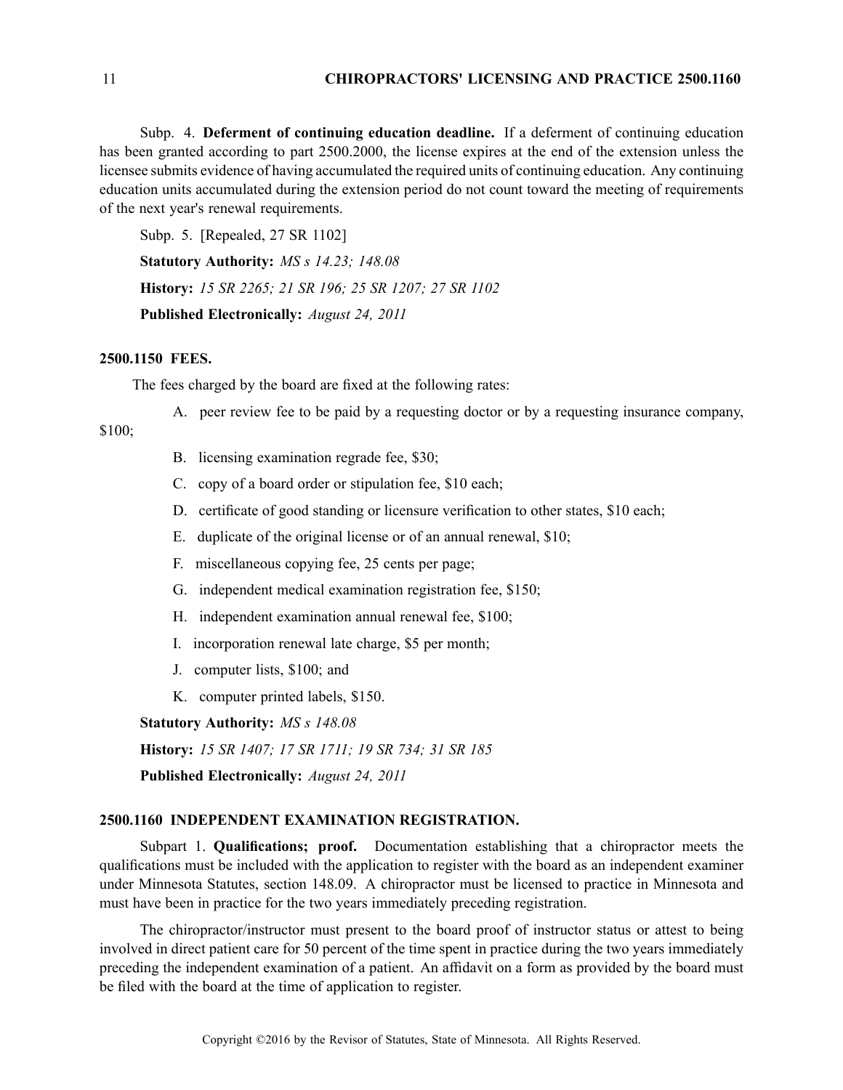Subp. 4. **Deferment of continuing education deadline.** If <sup>a</sup> deferment of continuing education has been granted according to par<sup>t</sup> 2500.2000, the license expires at the end of the extension unless the licensee submits evidence of having accumulated the required units of continuing education. Any continuing education units accumulated during the extension period do not count toward the meeting of requirements of the next year's renewal requirements.

Subp. 5. [Repealed, 27 SR 1102]

**Statutory Authority:** *MS <sup>s</sup> 14.23; 148.08*

**History:** *15 SR 2265; 21 SR 196; 25 SR 1207; 27 SR 1102*

**Published Electronically:** *August 24, 2011*

#### **2500.1150 FEES.**

The fees charged by the board are fixed at the following rates:

A. peer review fee to be paid by <sup>a</sup> requesting doctor or by <sup>a</sup> requesting insurance company,

# \$100;

- B. licensing examination regrade fee, \$30;
- C. copy of <sup>a</sup> board order or stipulation fee, \$10 each;
- D. certificate of good standing or licensure verification to other states, \$10 each;
- E. duplicate of the original license or of an annual renewal, \$10;
- F. miscellaneous copying fee, 25 cents per page;
- G. independent medical examination registration fee, \$150;
- H. independent examination annual renewal fee, \$100;
- I. incorporation renewal late charge, \$5 per month;
- J. computer lists, \$100; and
- K. computer printed labels, \$150.

**Statutory Authority:** *MS <sup>s</sup> 148.08*

**History:** *15 SR 1407; 17 SR 1711; 19 SR 734; 31 SR 185*

**Published Electronically:** *August 24, 2011*

# **2500.1160 INDEPENDENT EXAMINATION REGISTRATION.**

Subpart 1. **Qualifications; proof.** Documentation establishing that <sup>a</sup> chiropractor meets the qualifications must be included with the application to register with the board as an independent examiner under Minnesota Statutes, section 148.09. A chiropractor must be licensed to practice in Minnesota and must have been in practice for the two years immediately preceding registration.

The chiropractor/instructor must presen<sup>t</sup> to the board proof of instructor status or attest to being involved in direct patient care for 50 percen<sup>t</sup> of the time spen<sup>t</sup> in practice during the two years immediately preceding the independent examination of <sup>a</sup> patient. An affidavit on <sup>a</sup> form as provided by the board must be filed with the board at the time of application to register.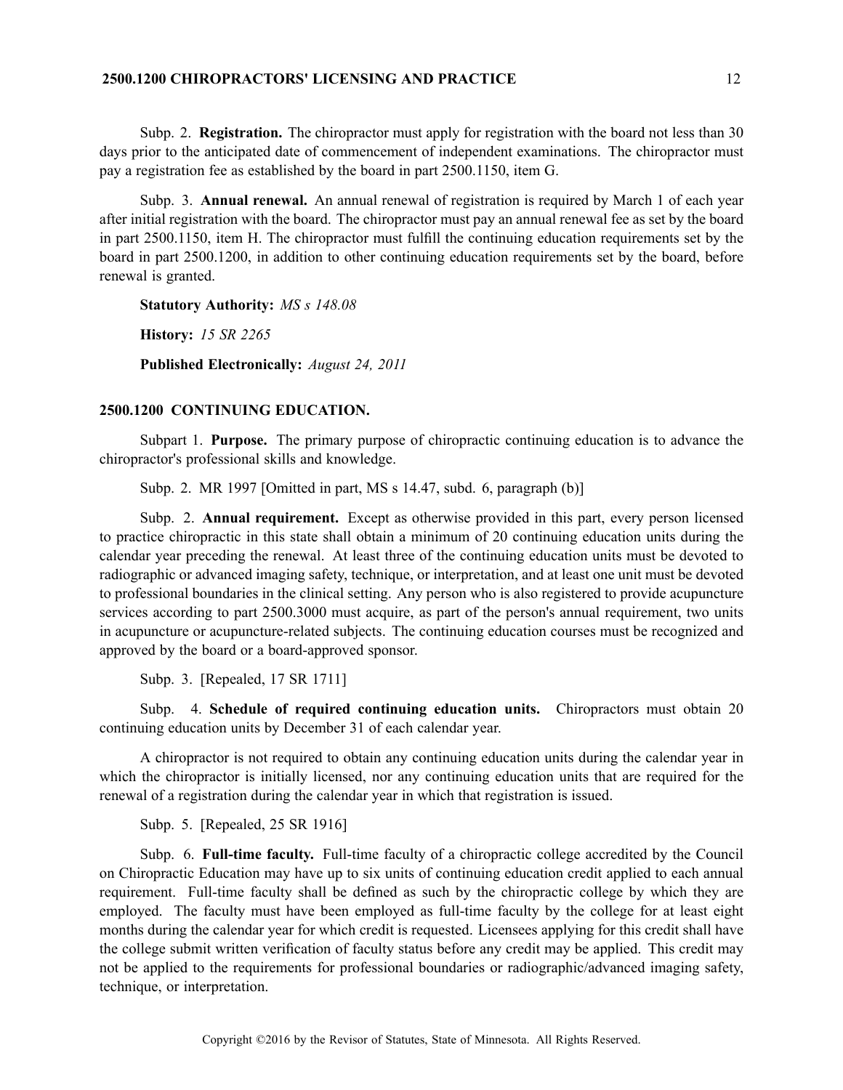# **2500.1200 CHIROPRACTORS' LICENSING AND PRACTICE** 12

Subp. 2. **Registration.** The chiropractor must apply for registration with the board not less than 30 days prior to the anticipated date of commencement of independent examinations. The chiropractor must pay <sup>a</sup> registration fee as established by the board in par<sup>t</sup> 2500.1150, item G.

Subp. 3. **Annual renewal.** An annual renewal of registration is required by March 1 of each year after initial registration with the board. The chiropractor must pay an annual renewal fee as set by the board in par<sup>t</sup> 2500.1150, item H. The chiropractor must fulfill the continuing education requirements set by the board in par<sup>t</sup> 2500.1200, in addition to other continuing education requirements set by the board, before renewal is granted.

**Statutory Authority:** *MS <sup>s</sup> 148.08*

**History:** *15 SR 2265*

**Published Electronically:** *August 24, 2011*

# **2500.1200 CONTINUING EDUCATION.**

Subpart 1. **Purpose.** The primary purpose of chiropractic continuing education is to advance the chiropractor's professional skills and knowledge.

Subp. 2. MR 1997 [Omitted in part, MS <sup>s</sup> 14.47, subd. 6, paragraph (b)]

Subp. 2. **Annual requirement.** Except as otherwise provided in this part, every person licensed to practice chiropractic in this state shall obtain <sup>a</sup> minimum of 20 continuing education units during the calendar year preceding the renewal. At least three of the continuing education units must be devoted to radiographic or advanced imaging safety, technique, or interpretation, and at least one unit must be devoted to professional boundaries in the clinical setting. Any person who is also registered to provide acupuncture services according to par<sup>t</sup> 2500.3000 must acquire, as par<sup>t</sup> of the person's annual requirement, two units in acupuncture or acupuncture-related subjects. The continuing education courses must be recognized and approved by the board or <sup>a</sup> board-approved sponsor.

Subp. 3. [Repealed, 17 SR 1711]

Subp. 4. **Schedule of required continuing education units.** Chiropractors must obtain 20 continuing education units by December 31 of each calendar year.

A chiropractor is not required to obtain any continuing education units during the calendar year in which the chiropractor is initially licensed, nor any continuing education units that are required for the renewal of <sup>a</sup> registration during the calendar year in which that registration is issued.

Subp. 5. [Repealed, 25 SR 1916]

Subp. 6. **Full-time faculty.** Full-time faculty of <sup>a</sup> chiropractic college accredited by the Council on Chiropractic Education may have up to six units of continuing education credit applied to each annual requirement. Full-time faculty shall be defined as such by the chiropractic college by which they are employed. The faculty must have been employed as full-time faculty by the college for at least eight months during the calendar year for which credit is requested. Licensees applying for this credit shall have the college submit written verification of faculty status before any credit may be applied. This credit may not be applied to the requirements for professional boundaries or radiographic/advanced imaging safety, technique, or interpretation.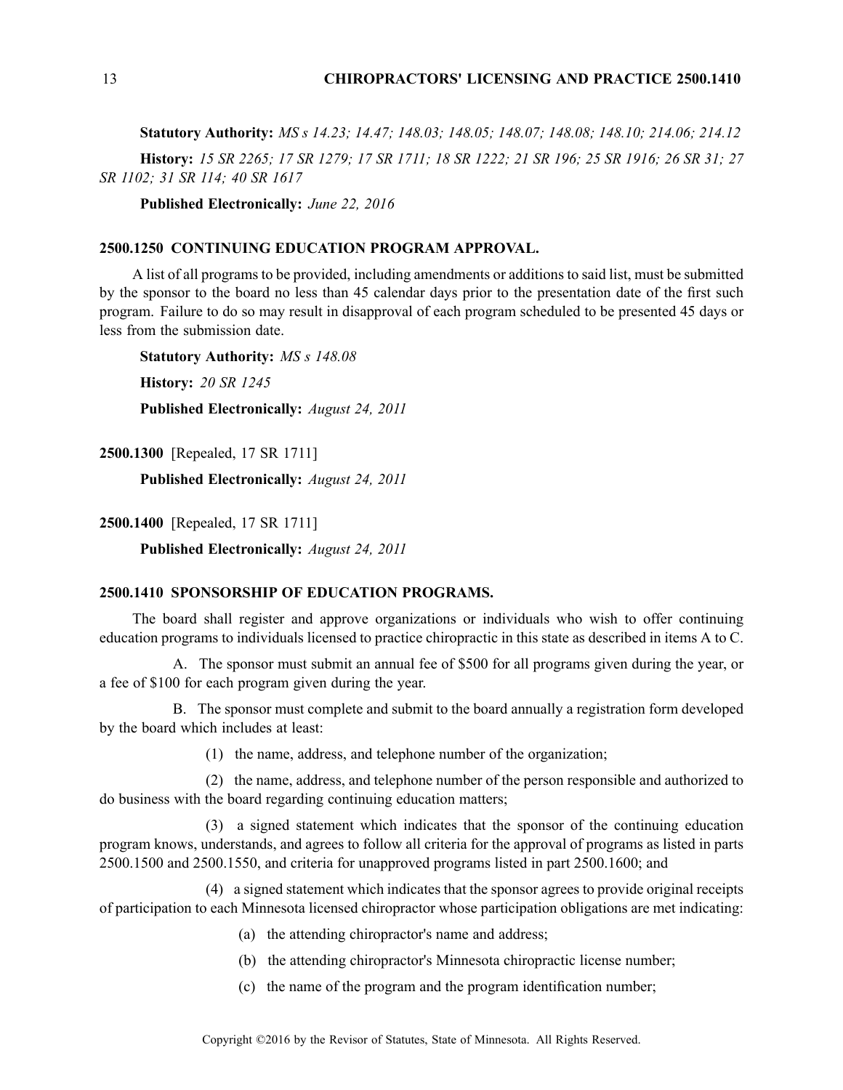**Statutory Authority:** *MS <sup>s</sup> 14.23; 14.47; 148.03; 148.05; 148.07; 148.08; 148.10; 214.06; 214.12* History: 15 SR 2265; 17 SR 1279; 17 SR 1711; 18 SR 1222; 21 SR 196; 25 SR 1916; 26 SR 31; 27 *SR 1102; 31 SR 114; 40 SR 1617*

**Published Electronically:** *June 22, 2016*

#### **2500.1250 CONTINUING EDUCATION PROGRAM APPROVAL.**

A list of all programs to be provided, including amendments or additions to said list, must be submitted by the sponsor to the board no less than 45 calendar days prior to the presentation date of the first such program. Failure to do so may result in disapproval of each program scheduled to be presented 45 days or less from the submission date.

**Statutory Authority:** *MS <sup>s</sup> 148.08* **History:** *20 SR 1245* **Published Electronically:** *August 24, 2011*

**2500.1300** [Repealed, 17 SR 1711]

**Published Electronically:** *August 24, 2011*

**2500.1400** [Repealed, 17 SR 1711]

**Published Electronically:** *August 24, 2011*

# **2500.1410 SPONSORSHIP OF EDUCATION PROGRAMS.**

The board shall register and approve organizations or individuals who wish to offer continuing education programs to individuals licensed to practice chiropractic in this state as described in items A to C.

A. The sponsor must submit an annual fee of \$500 for all programs given during the year, or <sup>a</sup> fee of \$100 for each program given during the year.

B. The sponsor must complete and submit to the board annually <sup>a</sup> registration form developed by the board which includes at least:

(1) the name, address, and telephone number of the organization;

(2) the name, address, and telephone number of the person responsible and authorized to do business with the board regarding continuing education matters;

(3) <sup>a</sup> signed statement which indicates that the sponsor of the continuing education program knows, understands, and agrees to follow all criteria for the approval of programs as listed in parts 2500.1500 and 2500.1550, and criteria for unapproved programs listed in par<sup>t</sup> 2500.1600; and

(4) <sup>a</sup> signed statement which indicates that the sponsor agrees to provide original receipts of participation to each Minnesota licensed chiropractor whose participation obligations are met indicating:

- (a) the attending chiropractor's name and address;
- (b) the attending chiropractor's Minnesota chiropractic license number;
- (c) the name of the program and the program identification number;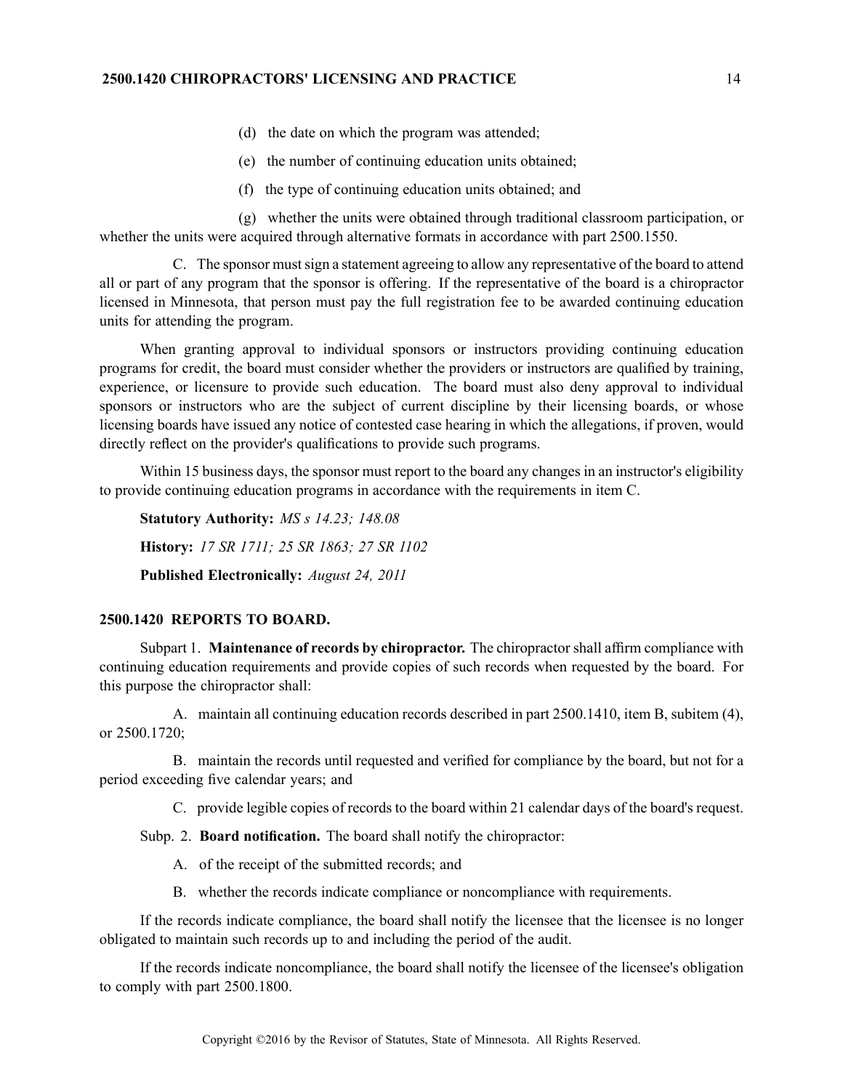- (d) the date on which the program was attended;
- (e) the number of continuing education units obtained;
- (f) the type of continuing education units obtained; and

(g) whether the units were obtained through traditional classroom participation, or whether the units were acquired through alternative formats in accordance with part 2500.1550.

C. The sponsor must sign a statement agreeing to allow any representative of the board to attend all or par<sup>t</sup> of any program that the sponsor is offering. If the representative of the board is <sup>a</sup> chiropractor licensed in Minnesota, that person must pay the full registration fee to be awarded continuing education units for attending the program.

When granting approval to individual sponsors or instructors providing continuing education programs for credit, the board must consider whether the providers or instructors are qualified by training, experience, or licensure to provide such education. The board must also deny approval to individual sponsors or instructors who are the subject of current discipline by their licensing boards, or whose licensing boards have issued any notice of contested case hearing in which the allegations, if proven, would directly reflect on the provider's qualifications to provide such programs.

Within 15 business days, the sponsor must repor<sup>t</sup> to the board any changes in an instructor's eligibility to provide continuing education programs in accordance with the requirements in item C.

**Statutory Authority:** *MS <sup>s</sup> 14.23; 148.08* **History:** *17 SR 1711; 25 SR 1863; 27 SR 1102* **Published Electronically:** *August 24, 2011*

#### **2500.1420 REPORTS TO BOARD.**

Subpart 1. **Maintenance of records by chiropractor.** The chiropractor shall affirm compliance with continuing education requirements and provide copies of such records when requested by the board. For this purpose the chiropractor shall:

A. maintain all continuing education records described in par<sup>t</sup> 2500.1410, item B, subitem (4), or 2500.1720;

B. maintain the records until requested and verified for compliance by the board, but not for <sup>a</sup> period exceeding five calendar years; and

C. provide legible copies of records to the board within 21 calendar days of the board's request.

Subp. 2. **Board notification.** The board shall notify the chiropractor:

- A. of the receipt of the submitted records; and
- B. whether the records indicate compliance or noncompliance with requirements.

If the records indicate compliance, the board shall notify the licensee that the licensee is no longer obligated to maintain such records up to and including the period of the audit.

If the records indicate noncompliance, the board shall notify the licensee of the licensee's obligation to comply with par<sup>t</sup> 2500.1800.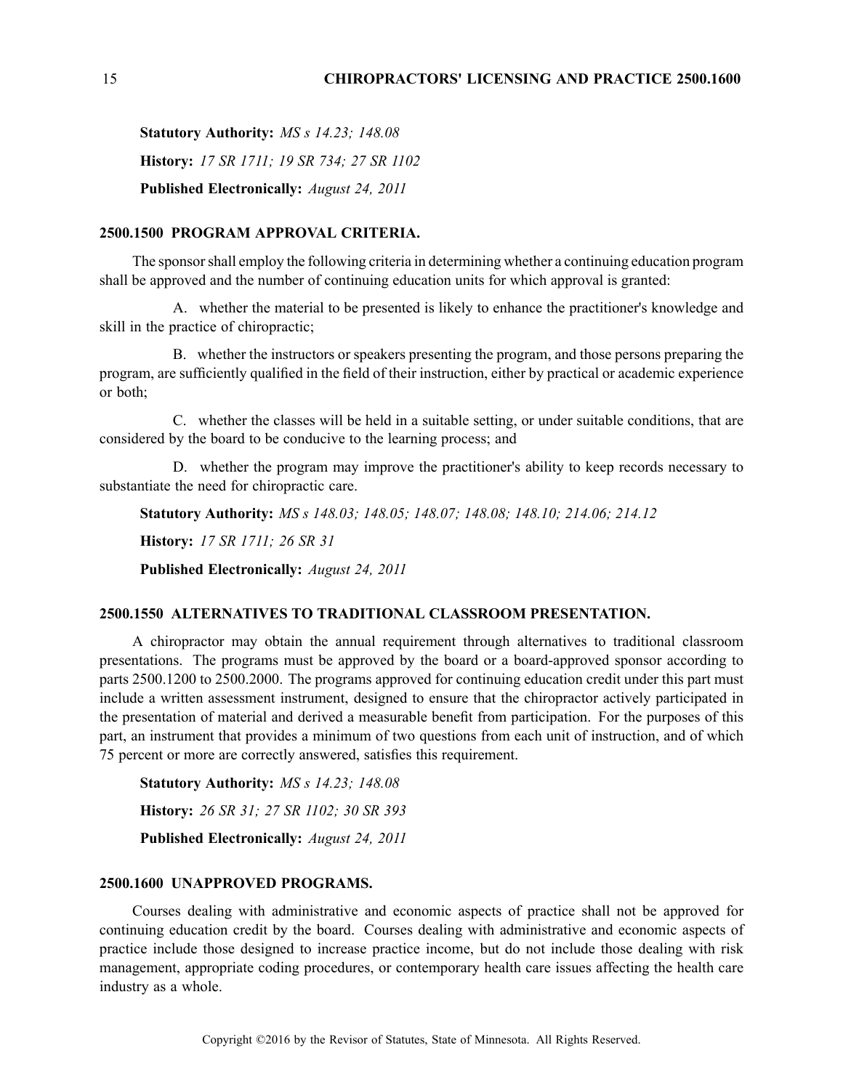**Statutory Authority:** *MS <sup>s</sup> 14.23; 148.08* **History:** *17 SR 1711; 19 SR 734; 27 SR 1102* **Published Electronically:** *August 24, 2011*

#### **2500.1500 PROGRAM APPROVAL CRITERIA.**

The sponsor shall employ the following criteria in determining whether a continuing education program shall be approved and the number of continuing education units for which approval is granted:

A. whether the material to be presented is likely to enhance the practitioner's knowledge and skill in the practice of chiropractic;

B. whether the instructors or speakers presenting the program, and those persons preparing the program, are sufficiently qualified in the field of their instruction, either by practical or academic experience or both;

C. whether the classes will be held in <sup>a</sup> suitable setting, or under suitable conditions, that are considered by the board to be conducive to the learning process; and

D. whether the program may improve the practitioner's ability to keep records necessary to substantiate the need for chiropractic care.

**Statutory Authority:** *MS <sup>s</sup> 148.03; 148.05; 148.07; 148.08; 148.10; 214.06; 214.12*

**History:** *17 SR 1711; 26 SR 31*

**Published Electronically:** *August 24, 2011*

### **2500.1550 ALTERNATIVES TO TRADITIONAL CLASSROOM PRESENTATION.**

A chiropractor may obtain the annual requirement through alternatives to traditional classroom presentations. The programs must be approved by the board or <sup>a</sup> board-approved sponsor according to parts 2500.1200 to 2500.2000. The programs approved for continuing education credit under this par<sup>t</sup> must include <sup>a</sup> written assessment instrument, designed to ensure that the chiropractor actively participated in the presentation of material and derived <sup>a</sup> measurable benefit from participation. For the purposes of this part, an instrument that provides <sup>a</sup> minimum of two questions from each unit of instruction, and of which 75 percen<sup>t</sup> or more are correctly answered, satisfies this requirement.

**Statutory Authority:** *MS <sup>s</sup> 14.23; 148.08* **History:** *26 SR 31; 27 SR 1102; 30 SR 393* **Published Electronically:** *August 24, 2011*

#### **2500.1600 UNAPPROVED PROGRAMS.**

Courses dealing with administrative and economic aspects of practice shall not be approved for continuing education credit by the board. Courses dealing with administrative and economic aspects of practice include those designed to increase practice income, but do not include those dealing with risk management, appropriate coding procedures, or contemporary health care issues affecting the health care industry as <sup>a</sup> whole.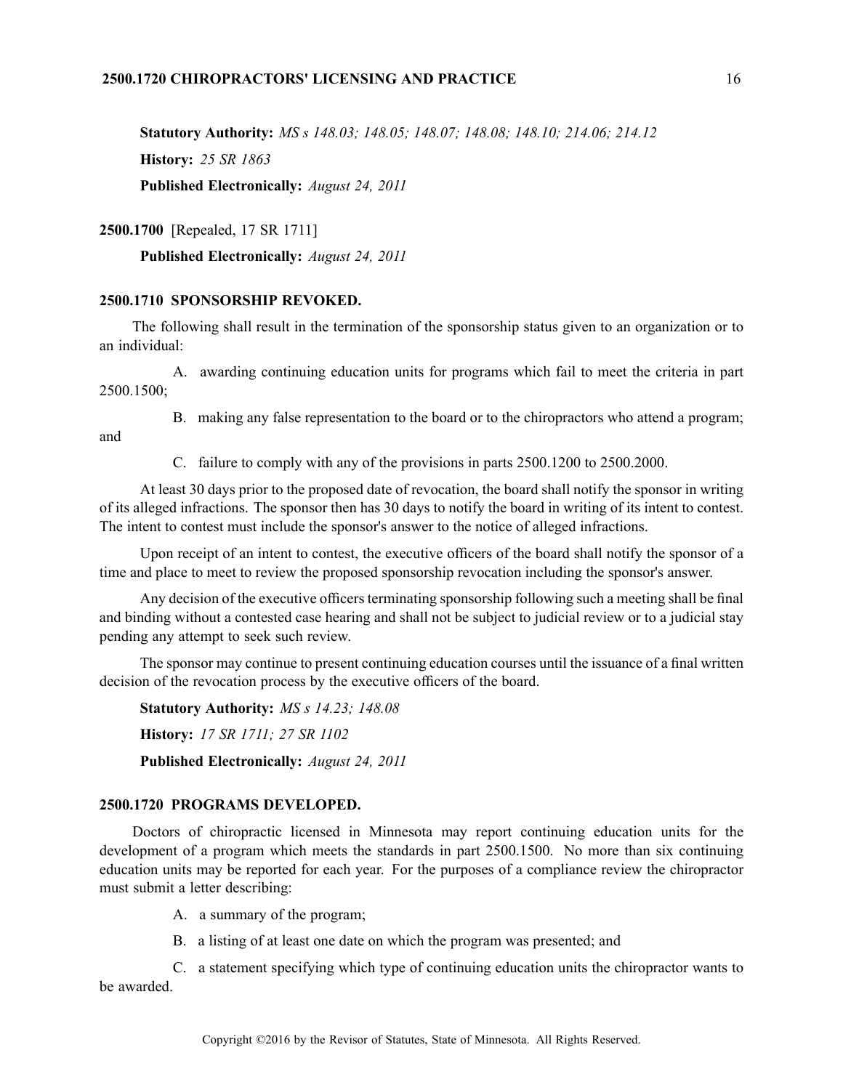# **2500.1720 CHIROPRACTORS' LICENSING AND PRACTICE** 16

**Statutory Authority:** *MS <sup>s</sup> 148.03; 148.05; 148.07; 148.08; 148.10; 214.06; 214.12* **History:** *25 SR 1863*

**Published Electronically:** *August 24, 2011*

**2500.1700** [Repealed, 17 SR 1711]

**Published Electronically:** *August 24, 2011*

# **2500.1710 SPONSORSHIP REVOKED.**

The following shall result in the termination of the sponsorship status given to an organization or to an individual:

A. awarding continuing education units for programs which fail to meet the criteria in par<sup>t</sup> 2500.1500;

B. making any false representation to the board or to the chiropractors who attend <sup>a</sup> program;

and

C. failure to comply with any of the provisions in parts 2500.1200 to 2500.2000.

At least 30 days prior to the proposed date of revocation, the board shall notify the sponsor in writing of its alleged infractions. The sponsor then has 30 days to notify the board in writing of its intent to contest. The intent to contest must include the sponsor's answer to the notice of alleged infractions.

Upon receipt of an intent to contest, the executive officers of the board shall notify the sponsor of <sup>a</sup> time and place to meet to review the proposed sponsorship revocation including the sponsor's answer.

Any decision of the executive officers terminating sponsorship following such a meeting shall be final and binding without <sup>a</sup> contested case hearing and shall not be subject to judicial review or to <sup>a</sup> judicial stay pending any attempt to seek such review.

The sponsor may continue to presen<sup>t</sup> continuing education courses until the issuance of <sup>a</sup> final written decision of the revocation process by the executive officers of the board.

**Statutory Authority:** *MS <sup>s</sup> 14.23; 148.08* **History:** *17 SR 1711; 27 SR 1102* **Published Electronically:** *August 24, 2011*

# **2500.1720 PROGRAMS DEVELOPED.**

Doctors of chiropractic licensed in Minnesota may repor<sup>t</sup> continuing education units for the development of <sup>a</sup> program which meets the standards in par<sup>t</sup> 2500.1500. No more than six continuing education units may be reported for each year. For the purposes of <sup>a</sup> compliance review the chiropractor must submit <sup>a</sup> letter describing:

A. <sup>a</sup> summary of the program;

B. <sup>a</sup> listing of at least one date on which the program was presented; and

C. <sup>a</sup> statement specifying which type of continuing education units the chiropractor wants to be awarded.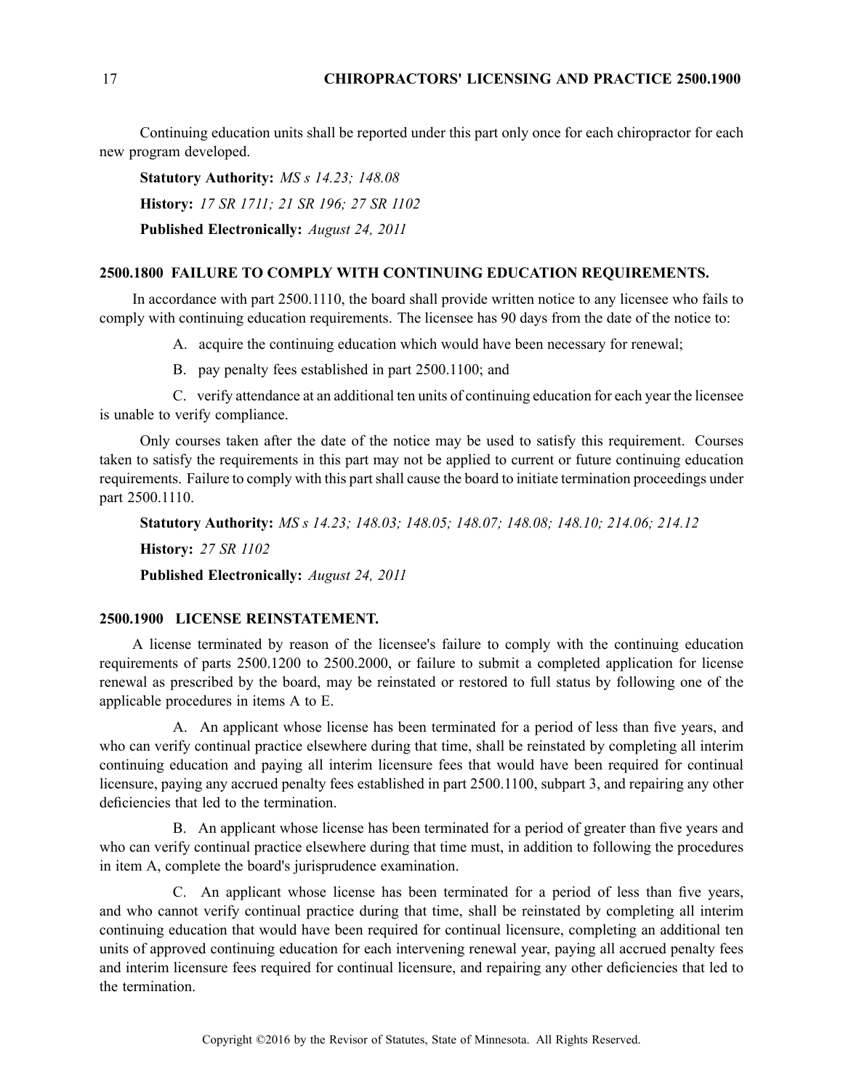Continuing education units shall be reported under this par<sup>t</sup> only once for each chiropractor for each new program developed.

**Statutory Authority:** *MS <sup>s</sup> 14.23; 148.08* **History:** *17 SR 1711; 21 SR 196; 27 SR 1102* **Published Electronically:** *August 24, 2011*

### **2500.1800 FAILURE TO COMPLY WITH CONTINUING EDUCATION REQUIREMENTS.**

In accordance with par<sup>t</sup> 2500.1110, the board shall provide written notice to any licensee who fails to comply with continuing education requirements. The licensee has 90 days from the date of the notice to:

A. acquire the continuing education which would have been necessary for renewal;

B. pay penalty fees established in par<sup>t</sup> 2500.1100; and

C. verify attendance at an additional ten units of continuing education for each year the licensee is unable to verify compliance.

Only courses taken after the date of the notice may be used to satisfy this requirement. Courses taken to satisfy the requirements in this par<sup>t</sup> may not be applied to current or future continuing education requirements. Failure to comply with this partshall cause the board to initiate termination proceedings under par<sup>t</sup> 2500.1110.

**Statutory Authority:** *MS <sup>s</sup> 14.23; 148.03; 148.05; 148.07; 148.08; 148.10; 214.06; 214.12* **History:** *27 SR 1102* **Published Electronically:** *August 24, 2011*

#### **2500.1900 LICENSE REINSTATEMENT.**

A license terminated by reason of the licensee's failure to comply with the continuing education requirements of parts 2500.1200 to 2500.2000, or failure to submit <sup>a</sup> completed application for license renewal as prescribed by the board, may be reinstated or restored to full status by following one of the applicable procedures in items A to E.

A. An applicant whose license has been terminated for <sup>a</sup> period of less than five years, and who can verify continual practice elsewhere during that time, shall be reinstated by completing all interim continuing education and paying all interim licensure fees that would have been required for continual licensure, paying any accrued penalty fees established in par<sup>t</sup> 2500.1100, subpart 3, and repairing any other deficiencies that led to the termination.

B. An applicant whose license has been terminated for <sup>a</sup> period of greater than five years and who can verify continual practice elsewhere during that time must, in addition to following the procedures in item A, complete the board's jurisprudence examination.

C. An applicant whose license has been terminated for <sup>a</sup> period of less than five years, and who cannot verify continual practice during that time, shall be reinstated by completing all interim continuing education that would have been required for continual licensure, completing an additional ten units of approved continuing education for each intervening renewal year, paying all accrued penalty fees and interim licensure fees required for continual licensure, and repairing any other deficiencies that led to the termination.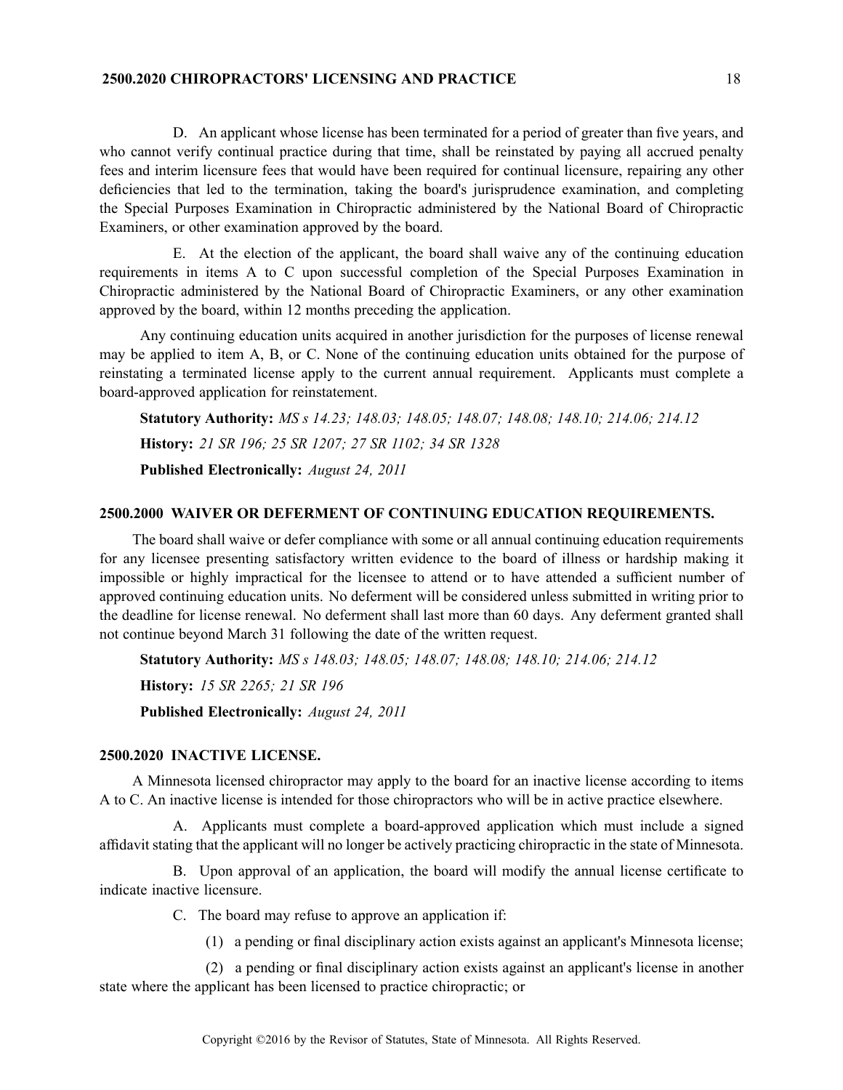# **2500.2020 CHIROPRACTORS' LICENSING AND PRACTICE** 18

D. An applicant whose license has been terminated for <sup>a</sup> period of greater than five years, and who cannot verify continual practice during that time, shall be reinstated by paying all accrued penalty fees and interim licensure fees that would have been required for continual licensure, repairing any other deficiencies that led to the termination, taking the board's jurisprudence examination, and completing the Special Purposes Examination in Chiropractic administered by the National Board of Chiropractic Examiners, or other examination approved by the board.

E. At the election of the applicant, the board shall waive any of the continuing education requirements in items A to C upon successful completion of the Special Purposes Examination in Chiropractic administered by the National Board of Chiropractic Examiners, or any other examination approved by the board, within 12 months preceding the application.

Any continuing education units acquired in another jurisdiction for the purposes of license renewal may be applied to item A, B, or C. None of the continuing education units obtained for the purpose of reinstating <sup>a</sup> terminated license apply to the current annual requirement. Applicants must complete <sup>a</sup> board-approved application for reinstatement.

**Statutory Authority:** *MS <sup>s</sup> 14.23; 148.03; 148.05; 148.07; 148.08; 148.10; 214.06; 214.12* **History:** *21 SR 196; 25 SR 1207; 27 SR 1102; 34 SR 1328* **Published Electronically:** *August 24, 2011*

#### **2500.2000 WAIVER OR DEFERMENT OF CONTINUING EDUCATION REQUIREMENTS.**

The board shall waive or defer compliance with some or all annual continuing education requirements for any licensee presenting satisfactory written evidence to the board of illness or hardship making it impossible or highly impractical for the licensee to attend or to have attended <sup>a</sup> sufficient number of approved continuing education units. No deferment will be considered unless submitted in writing prior to the deadline for license renewal. No deferment shall last more than 60 days. Any deferment granted shall not continue beyond March 31 following the date of the written request.

**Statutory Authority:** *MS <sup>s</sup> 148.03; 148.05; 148.07; 148.08; 148.10; 214.06; 214.12* **History:** *15 SR 2265; 21 SR 196* **Published Electronically:** *August 24, 2011*

#### **2500.2020 INACTIVE LICENSE.**

A Minnesota licensed chiropractor may apply to the board for an inactive license according to items A to C. An inactive license is intended for those chiropractors who will be in active practice elsewhere.

A. Applicants must complete <sup>a</sup> board-approved application which must include <sup>a</sup> signed affidavit stating that the applicant will no longer be actively practicing chiropractic in the state of Minnesota.

B. Upon approval of an application, the board will modify the annual license certificate to indicate inactive licensure.

C. The board may refuse to approve an application if:

(1) <sup>a</sup> pending or final disciplinary action exists against an applicant's Minnesota license;

(2) <sup>a</sup> pending or final disciplinary action exists against an applicant's license in another state where the applicant has been licensed to practice chiropractic; or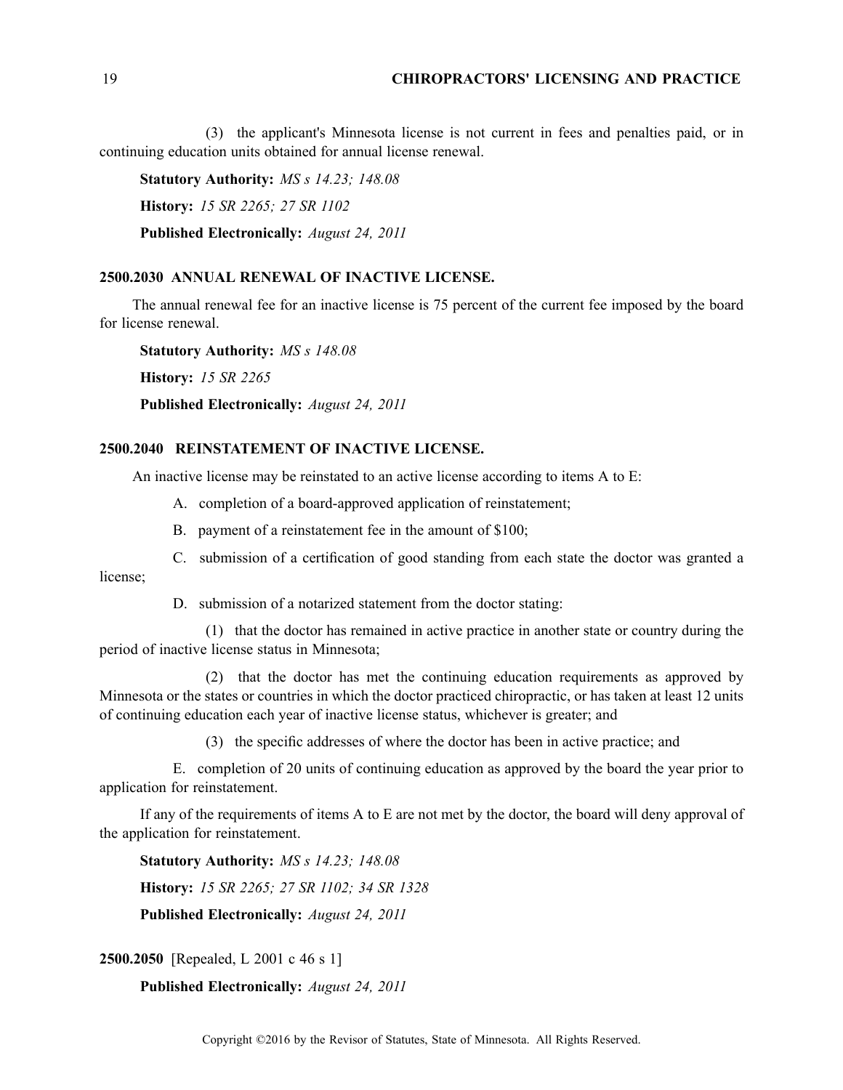(3) the applicant's Minnesota license is not current in fees and penalties paid, or in continuing education units obtained for annual license renewal.

**Statutory Authority:** *MS <sup>s</sup> 14.23; 148.08* **History:** *15 SR 2265; 27 SR 1102* **Published Electronically:** *August 24, 2011*

#### **2500.2030 ANNUAL RENEWAL OF INACTIVE LICENSE.**

The annual renewal fee for an inactive license is 75 percen<sup>t</sup> of the current fee imposed by the board for license renewal.

**Statutory Authority:** *MS <sup>s</sup> 148.08* **History:** *15 SR 2265* **Published Electronically:** *August 24, 2011*

# **2500.2040 REINSTATEMENT OF INACTIVE LICENSE.**

An inactive license may be reinstated to an active license according to items A to E:

- A. completion of <sup>a</sup> board-approved application of reinstatement;
- B. paymen<sup>t</sup> of <sup>a</sup> reinstatement fee in the amount of \$100;
- C. submission of <sup>a</sup> certification of good standing from each state the doctor was granted <sup>a</sup>

license;

D. submission of <sup>a</sup> notarized statement from the doctor stating:

(1) that the doctor has remained in active practice in another state or country during the period of inactive license status in Minnesota;

(2) that the doctor has met the continuing education requirements as approved by Minnesota or the states or countries in which the doctor practiced chiropractic, or has taken at least 12 units of continuing education each year of inactive license status, whichever is greater; and

(3) the specific addresses of where the doctor has been in active practice; and

E. completion of 20 units of continuing education as approved by the board the year prior to application for reinstatement.

If any of the requirements of items A to E are not met by the doctor, the board will deny approval of the application for reinstatement.

**Statutory Authority:** *MS <sup>s</sup> 14.23; 148.08* **History:** *15 SR 2265; 27 SR 1102; 34 SR 1328* **Published Electronically:** *August 24, 2011*

**2500.2050** [Repealed, L 2001 <sup>c</sup> 46 <sup>s</sup> 1]

#### **Published Electronically:** *August 24, 2011*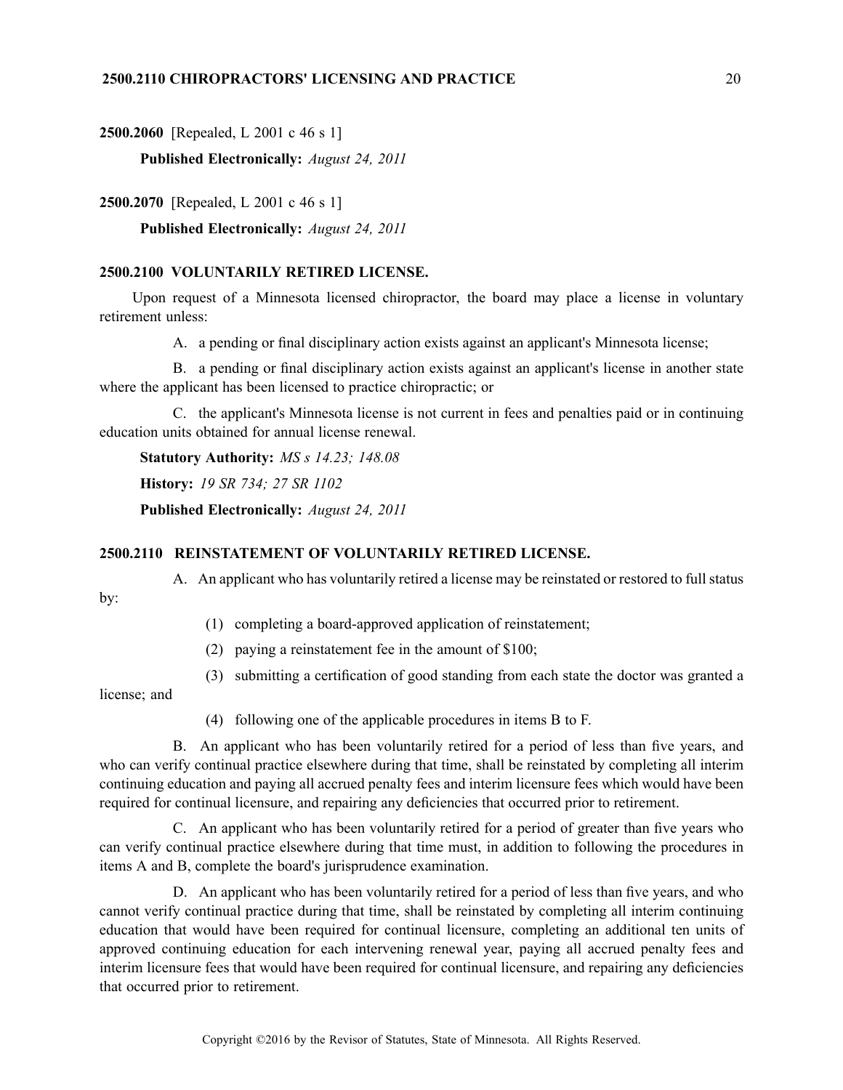**2500.2060** [Repealed, L 2001 <sup>c</sup> 46 <sup>s</sup> 1]

**Published Electronically:** *August 24, 2011*

**2500.2070** [Repealed, L 2001 <sup>c</sup> 46 <sup>s</sup> 1]

**Published Electronically:** *August 24, 2011*

# **2500.2100 VOLUNTARILY RETIRED LICENSE.**

Upon reques<sup>t</sup> of <sup>a</sup> Minnesota licensed chiropractor, the board may place <sup>a</sup> license in voluntary retirement unless:

A. <sup>a</sup> pending or final disciplinary action exists against an applicant's Minnesota license;

B. <sup>a</sup> pending or final disciplinary action exists against an applicant's license in another state where the applicant has been licensed to practice chiropractic; or

C. the applicant's Minnesota license is not current in fees and penalties paid or in continuing education units obtained for annual license renewal.

**Statutory Authority:** *MS <sup>s</sup> 14.23; 148.08*

**History:** *19 SR 734; 27 SR 1102*

**Published Electronically:** *August 24, 2011*

# **2500.2110 REINSTATEMENT OF VOLUNTARILY RETIRED LICENSE.**

A. An applicant who has voluntarily retired <sup>a</sup> license may be reinstated or restored to full status

- (1) completing <sup>a</sup> board-approved application of reinstatement;
- (2) paying <sup>a</sup> reinstatement fee in the amount of \$100;
- (3) submitting <sup>a</sup> certification of good standing from each state the doctor was granted <sup>a</sup>

license; and

by:

(4) following one of the applicable procedures in items B to F.

B. An applicant who has been voluntarily retired for <sup>a</sup> period of less than five years, and who can verify continual practice elsewhere during that time, shall be reinstated by completing all interim continuing education and paying all accrued penalty fees and interim licensure fees which would have been required for continual licensure, and repairing any deficiencies that occurred prior to retirement.

C. An applicant who has been voluntarily retired for <sup>a</sup> period of greater than five years who can verify continual practice elsewhere during that time must, in addition to following the procedures in items A and B, complete the board's jurisprudence examination.

D. An applicant who has been voluntarily retired for <sup>a</sup> period of less than five years, and who cannot verify continual practice during that time, shall be reinstated by completing all interim continuing education that would have been required for continual licensure, completing an additional ten units of approved continuing education for each intervening renewal year, paying all accrued penalty fees and interim licensure fees that would have been required for continual licensure, and repairing any deficiencies that occurred prior to retirement.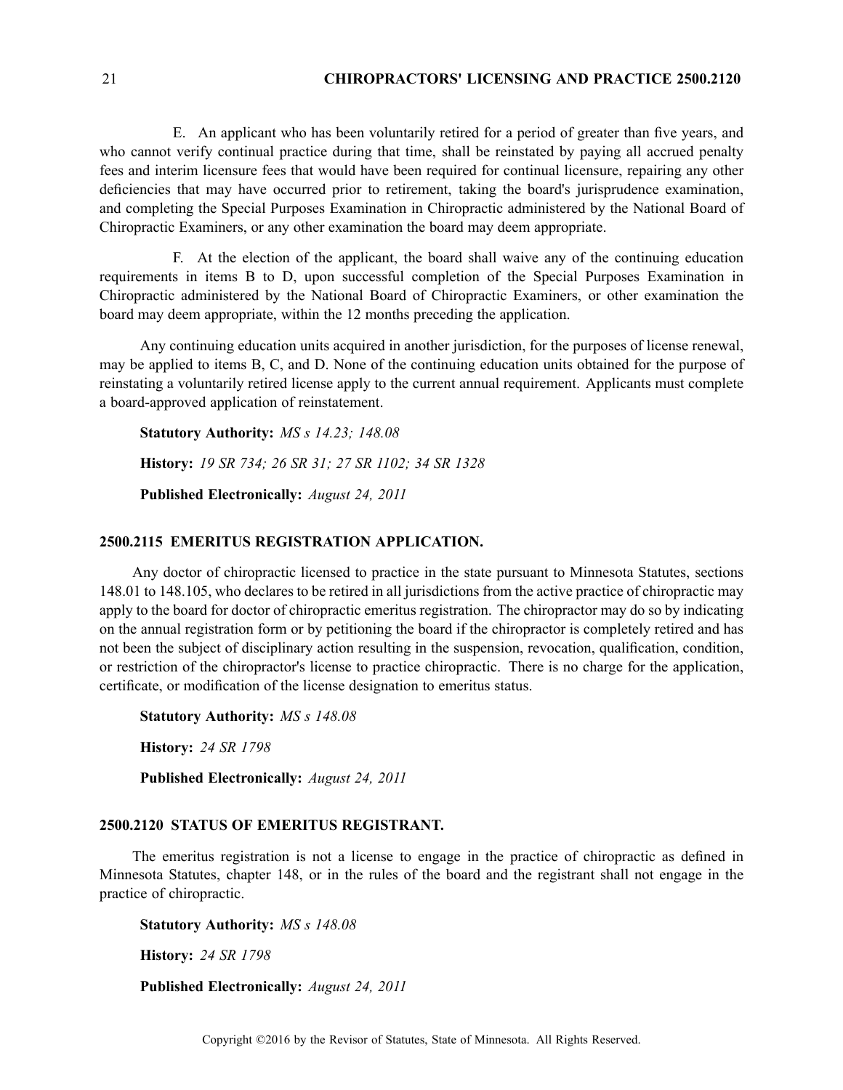# 21 **CHIROPRACTORS' LICENSING AND PRACTICE 2500.2120**

E. An applicant who has been voluntarily retired for <sup>a</sup> period of greater than five years, and who cannot verify continual practice during that time, shall be reinstated by paying all accrued penalty fees and interim licensure fees that would have been required for continual licensure, repairing any other deficiencies that may have occurred prior to retirement, taking the board's jurisprudence examination, and completing the Special Purposes Examination in Chiropractic administered by the National Board of Chiropractic Examiners, or any other examination the board may deem appropriate.

F. At the election of the applicant, the board shall waive any of the continuing education requirements in items B to D, upon successful completion of the Special Purposes Examination in Chiropractic administered by the National Board of Chiropractic Examiners, or other examination the board may deem appropriate, within the 12 months preceding the application.

Any continuing education units acquired in another jurisdiction, for the purposes of license renewal, may be applied to items B, C, and D. None of the continuing education units obtained for the purpose of reinstating <sup>a</sup> voluntarily retired license apply to the current annual requirement. Applicants must complete <sup>a</sup> board-approved application of reinstatement.

**Statutory Authority:** *MS <sup>s</sup> 14.23; 148.08* **History:** *19 SR 734; 26 SR 31; 27 SR 1102; 34 SR 1328* **Published Electronically:** *August 24, 2011*

### **2500.2115 EMERITUS REGISTRATION APPLICATION.**

Any doctor of chiropractic licensed to practice in the state pursuan<sup>t</sup> to Minnesota Statutes, sections 148.01 to 148.105, who declares to be retired in all jurisdictions from the active practice of chiropractic may apply to the board for doctor of chiropractic emeritus registration. The chiropractor may do so by indicating on the annual registration form or by petitioning the board if the chiropractor is completely retired and has not been the subject of disciplinary action resulting in the suspension, revocation, qualification, condition, or restriction of the chiropractor's license to practice chiropractic. There is no charge for the application, certificate, or modification of the license designation to emeritus status.

**Statutory Authority:** *MS <sup>s</sup> 148.08*

**History:** *24 SR 1798*

**Published Electronically:** *August 24, 2011*

# **2500.2120 STATUS OF EMERITUS REGISTRANT.**

The emeritus registration is not <sup>a</sup> license to engage in the practice of chiropractic as defined in Minnesota Statutes, chapter 148, or in the rules of the board and the registrant shall not engage in the practice of chiropractic.

**Statutory Authority:** *MS <sup>s</sup> 148.08*

**History:** *24 SR 1798*

**Published Electronically:** *August 24, 2011*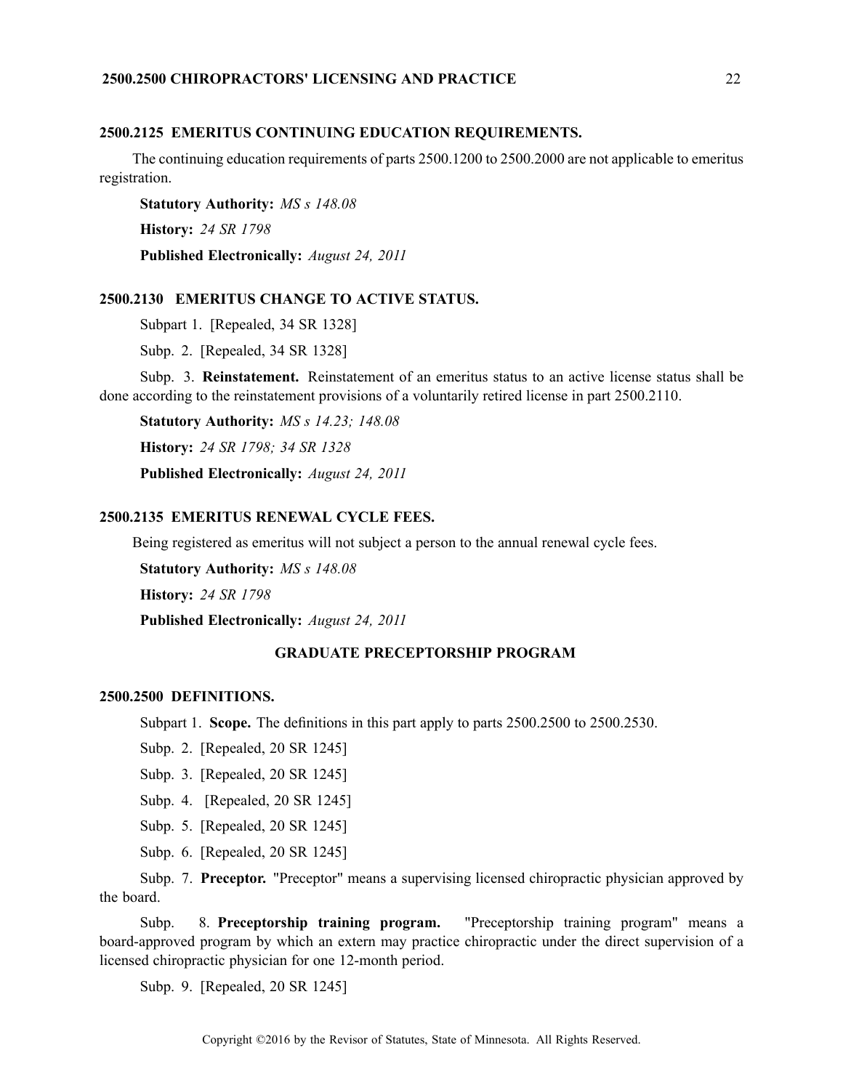#### **2500.2125 EMERITUS CONTINUING EDUCATION REQUIREMENTS.**

The continuing education requirements of parts 2500.1200 to 2500.2000 are not applicable to emeritus registration.

**Statutory Authority:** *MS <sup>s</sup> 148.08* **History:** *24 SR 1798* **Published Electronically:** *August 24, 2011*

#### **2500.2130 EMERITUS CHANGE TO ACTIVE STATUS.**

Subpart 1. [Repealed, 34 SR 1328]

Subp. 2. [Repealed, 34 SR 1328]

Subp. 3. **Reinstatement.** Reinstatement of an emeritus status to an active license status shall be done according to the reinstatement provisions of <sup>a</sup> voluntarily retired license in par<sup>t</sup> 2500.2110.

**Statutory Authority:** *MS <sup>s</sup> 14.23; 148.08* **History:** *24 SR 1798; 34 SR 1328* **Published Electronically:** *August 24, 2011*

# **2500.2135 EMERITUS RENEWAL CYCLE FEES.**

Being registered as emeritus will not subject <sup>a</sup> person to the annual renewal cycle fees.

**Statutory Authority:** *MS <sup>s</sup> 148.08*

**History:** *24 SR 1798*

**Published Electronically:** *August 24, 2011*

#### **GRADUATE PRECEPTORSHIP PROGRAM**

#### **2500.2500 DEFINITIONS.**

Subpart 1. **Scope.** The definitions in this par<sup>t</sup> apply to parts 2500.2500 to 2500.2530.

Subp. 2. [Repealed, 20 SR 1245]

Subp. 3. [Repealed, 20 SR 1245]

Subp. 4. [Repealed, 20 SR 1245]

Subp. 5. [Repealed, 20 SR 1245]

Subp. 6. [Repealed, 20 SR 1245]

Subp. 7. **Preceptor.** "Preceptor" means <sup>a</sup> supervising licensed chiropractic physician approved by the board.

Subp. 8. **Preceptorship training program.** "Preceptorship training program" means <sup>a</sup> board-approved program by which an extern may practice chiropractic under the direct supervision of <sup>a</sup> licensed chiropractic physician for one 12-month period.

Subp. 9. [Repealed, 20 SR 1245]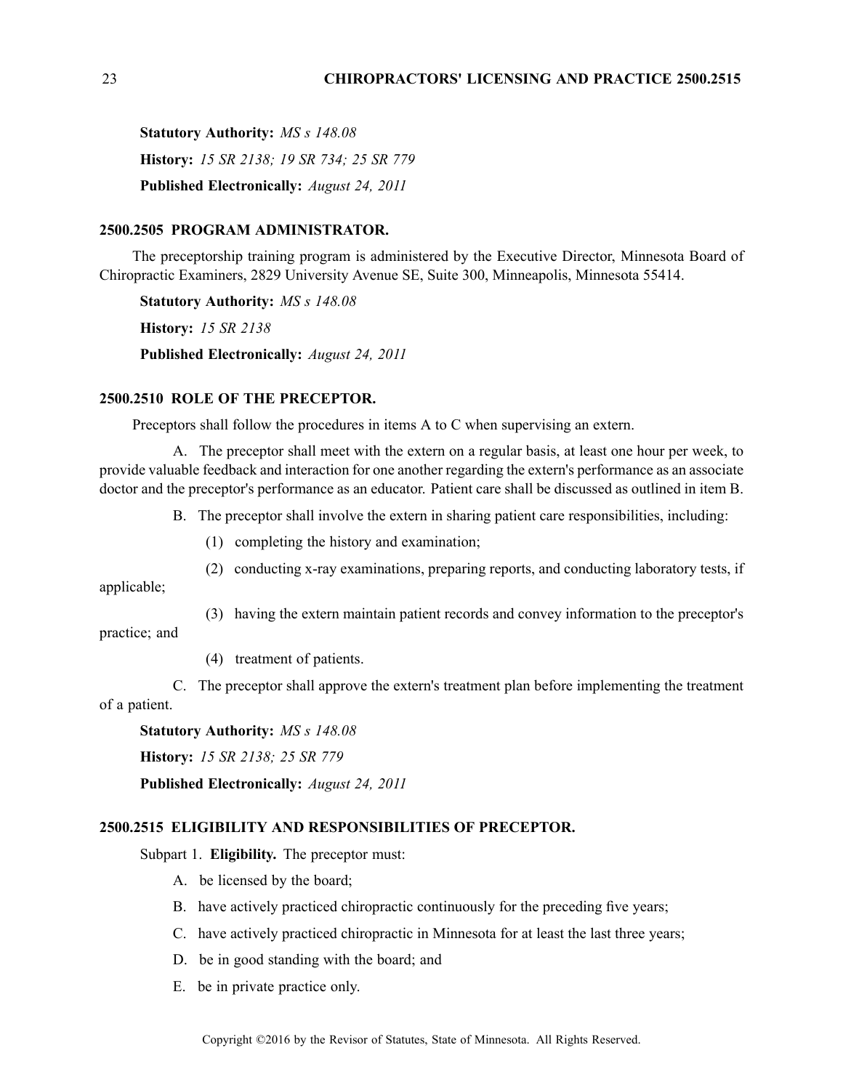**Statutory Authority:** *MS <sup>s</sup> 148.08* **History:** *15 SR 2138; 19 SR 734; 25 SR 779* **Published Electronically:** *August 24, 2011*

#### **2500.2505 PROGRAM ADMINISTRATOR.**

The preceptorship training program is administered by the Executive Director, Minnesota Board of Chiropractic Examiners, 2829 University Avenue SE, Suite 300, Minneapolis, Minnesota 55414.

**Statutory Authority:** *MS <sup>s</sup> 148.08* **History:** *15 SR 2138* **Published Electronically:** *August 24, 2011*

#### **2500.2510 ROLE OF THE PRECEPTOR.**

Preceptors shall follow the procedures in items A to C when supervising an extern.

A. The preceptor shall meet with the extern on <sup>a</sup> regular basis, at least one hour per week, to provide valuable feedback and interaction for one another regarding the extern's performance as an associate doctor and the preceptor's performance as an educator. Patient care shall be discussed as outlined in item B.

B. The preceptor shall involve the extern in sharing patient care responsibilities, including:

- (1) completing the history and examination;
- (2) conducting x-ray examinations, preparing reports, and conducting laboratory tests, if

applicable;

(3) having the extern maintain patient records and convey information to the preceptor's

practice; and

(4) treatment of patients.

C. The preceptor shall approve the extern's treatment plan before implementing the treatment of <sup>a</sup> patient.

**Statutory Authority:** *MS <sup>s</sup> 148.08*

**History:** *15 SR 2138; 25 SR 779*

**Published Electronically:** *August 24, 2011*

# **2500.2515 ELIGIBILITY AND RESPONSIBILITIES OF PRECEPTOR.**

Subpart 1. **Eligibility.** The preceptor must:

- A. be licensed by the board;
- B. have actively practiced chiropractic continuously for the preceding five years;
- C. have actively practiced chiropractic in Minnesota for at least the last three years;
- D. be in good standing with the board; and
- E. be in private practice only.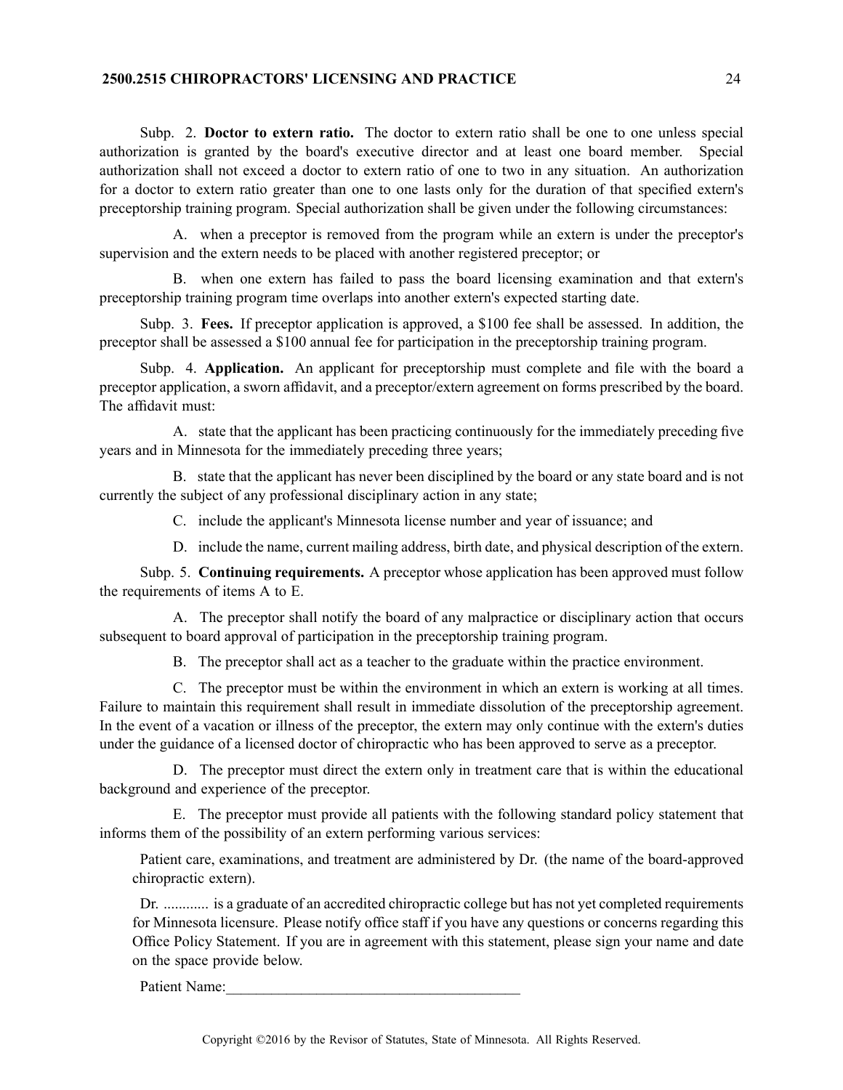# **2500.2515 CHIROPRACTORS' LICENSING AND PRACTICE** 24

Subp. 2. **Doctor to extern ratio.** The doctor to extern ratio shall be one to one unless special authorization is granted by the board's executive director and at least one board member. Special authorization shall not exceed <sup>a</sup> doctor to extern ratio of one to two in any situation. An authorization for <sup>a</sup> doctor to extern ratio greater than one to one lasts only for the duration of that specified extern's preceptorship training program. Special authorization shall be given under the following circumstances:

A. when <sup>a</sup> preceptor is removed from the program while an extern is under the preceptor's supervision and the extern needs to be placed with another registered preceptor; or

B. when one extern has failed to pass the board licensing examination and that extern's preceptorship training program time overlaps into another extern's expected starting date.

Subp. 3. **Fees.** If preceptor application is approved, <sup>a</sup> \$100 fee shall be assessed. In addition, the preceptor shall be assessed <sup>a</sup> \$100 annual fee for participation in the preceptorship training program.

Subp. 4. **Application.** An applicant for preceptorship must complete and file with the board <sup>a</sup> preceptor application, <sup>a</sup> sworn affidavit, and <sup>a</sup> preceptor/extern agreemen<sup>t</sup> on forms prescribed by the board. The affidavit must:

A. state that the applicant has been practicing continuously for the immediately preceding five years and in Minnesota for the immediately preceding three years;

B. state that the applicant has never been disciplined by the board or any state board and is not currently the subject of any professional disciplinary action in any state;

C. include the applicant's Minnesota license number and year of issuance; and

D. include the name, current mailing address, birth date, and physical description of the extern.

Subp. 5. **Continuing requirements.** A preceptor whose application has been approved must follow the requirements of items A to E.

A. The preceptor shall notify the board of any malpractice or disciplinary action that occurs subsequent to board approval of participation in the preceptorship training program.

B. The preceptor shall act as <sup>a</sup> teacher to the graduate within the practice environment.

C. The preceptor must be within the environment in which an extern is working at all times. Failure to maintain this requirement shall result in immediate dissolution of the preceptorship agreement. In the event of <sup>a</sup> vacation or illness of the preceptor, the extern may only continue with the extern's duties under the guidance of <sup>a</sup> licensed doctor of chiropractic who has been approved to serve as <sup>a</sup> preceptor.

D. The preceptor must direct the extern only in treatment care that is within the educational background and experience of the preceptor.

E. The preceptor must provide all patients with the following standard policy statement that informs them of the possibility of an extern performing various services:

Patient care, examinations, and treatment are administered by Dr. (the name of the board-approved chiropractic extern).

Dr. ............ is <sup>a</sup> graduate of an accredited chiropractic college but has not ye<sup>t</sup> completed requirements for Minnesota licensure. Please notify office staff if you have any questions or concerns regarding this Office Policy Statement. If you are in agreemen<sup>t</sup> with this statement, please sign your name and date on the space provide below.

Patient Name: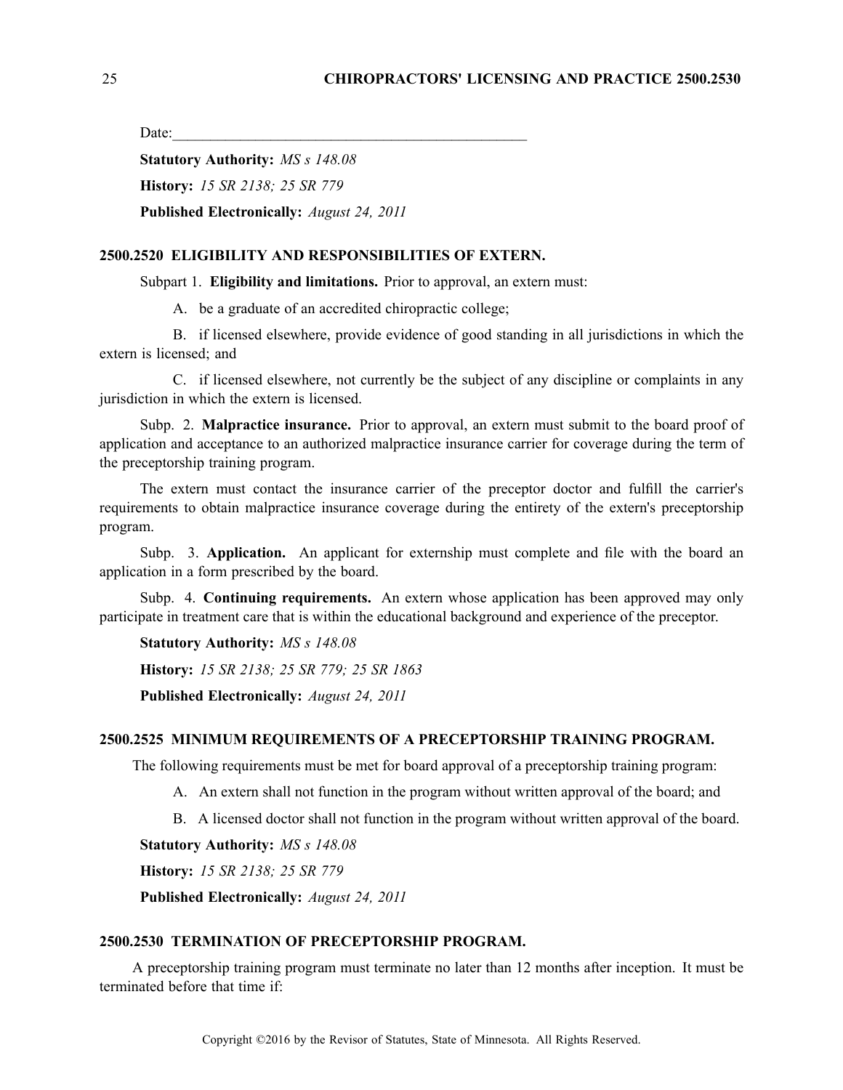Date:

**Statutory Authority:** *MS <sup>s</sup> 148.08* **History:** *15 SR 2138; 25 SR 779* **Published Electronically:** *August 24, 2011*

#### **2500.2520 ELIGIBILITY AND RESPONSIBILITIES OF EXTERN.**

Subpart 1. **Eligibility and limitations.** Prior to approval, an extern must:

A. be <sup>a</sup> graduate of an accredited chiropractic college;

B. if licensed elsewhere, provide evidence of good standing in all jurisdictions in which the extern is licensed; and

C. if licensed elsewhere, not currently be the subject of any discipline or complaints in any jurisdiction in which the extern is licensed.

Subp. 2. **Malpractice insurance.** Prior to approval, an extern must submit to the board proof of application and acceptance to an authorized malpractice insurance carrier for coverage during the term of the preceptorship training program.

The extern must contact the insurance carrier of the preceptor doctor and fulfill the carrier's requirements to obtain malpractice insurance coverage during the entirety of the extern's preceptorship program.

Subp. 3. **Application.** An applicant for externship must complete and file with the board an application in <sup>a</sup> form prescribed by the board.

Subp. 4. **Continuing requirements.** An extern whose application has been approved may only participate in treatment care that is within the educational background and experience of the preceptor.

**Statutory Authority:** *MS <sup>s</sup> 148.08*

**History:** *15 SR 2138; 25 SR 779; 25 SR 1863*

**Published Electronically:** *August 24, 2011*

#### **2500.2525 MINIMUM REQUIREMENTS OF A PRECEPTORSHIP TRAINING PROGRAM.**

The following requirements must be met for board approval of <sup>a</sup> preceptorship training program:

- A. An extern shall not function in the program without written approval of the board; and
- B. A licensed doctor shall not function in the program without written approval of the board.

**Statutory Authority:** *MS <sup>s</sup> 148.08*

**History:** *15 SR 2138; 25 SR 779*

**Published Electronically:** *August 24, 2011*

# **2500.2530 TERMINATION OF PRECEPTORSHIP PROGRAM.**

A preceptorship training program must terminate no later than 12 months after inception. It must be terminated before that time if: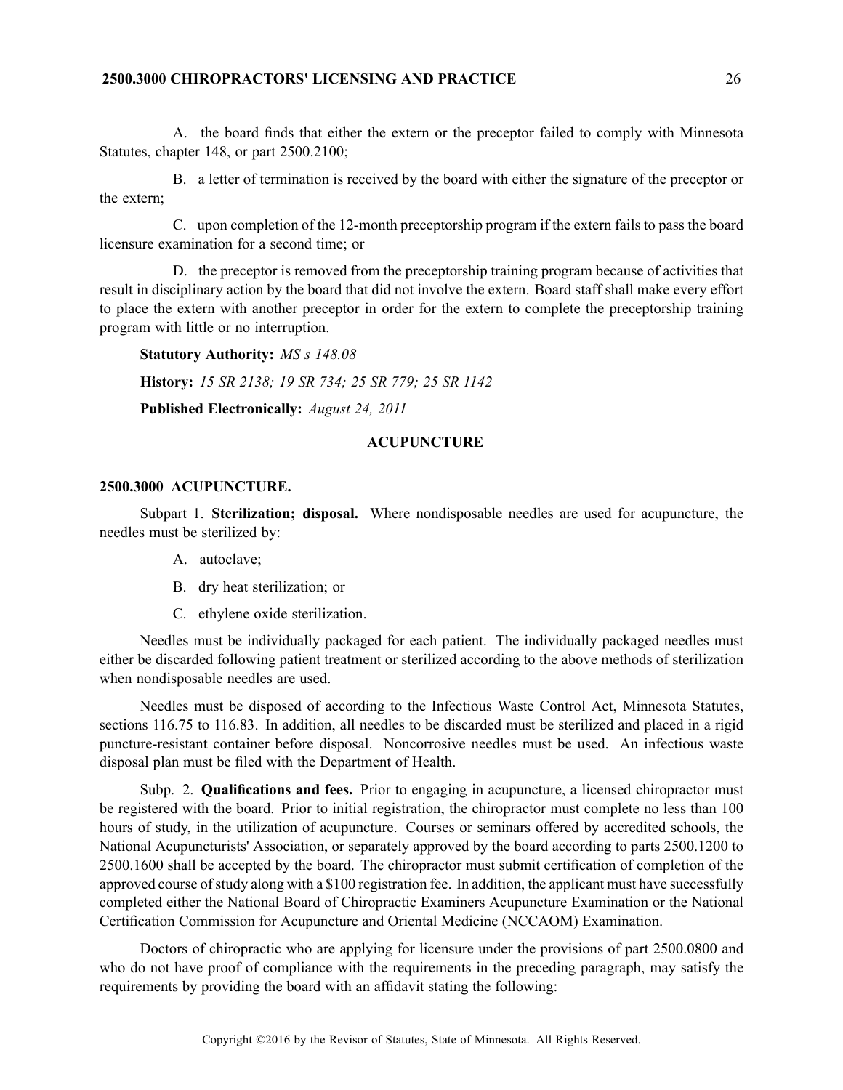# **2500.3000 CHIROPRACTORS' LICENSING AND PRACTICE** 26

A. the board finds that either the extern or the preceptor failed to comply with Minnesota Statutes, chapter 148, or par<sup>t</sup> 2500.2100;

B. <sup>a</sup> letter of termination is received by the board with either the signature of the preceptor or the extern;

C. upon completion of the 12-month preceptorship program if the extern fails to pass the board licensure examination for <sup>a</sup> second time; or

D. the preceptor is removed from the preceptorship training program because of activities that result in disciplinary action by the board that did not involve the extern. Board staff shall make every effort to place the extern with another preceptor in order for the extern to complete the preceptorship training program with little or no interruption.

```
Statutory Authority: MS s 148.08
History: 15 SR 2138; 19 SR 734; 25 SR 779; 25 SR 1142
Published Electronically: August 24, 2011
```
# **ACUPUNCTURE**

#### **2500.3000 ACUPUNCTURE.**

Subpart 1. **Sterilization; disposal.** Where nondisposable needles are used for acupuncture, the needles must be sterilized by:

- A. autoclave;
- B. dry heat sterilization; or
- C. ethylene oxide sterilization.

Needles must be individually packaged for each patient. The individually packaged needles must either be discarded following patient treatment or sterilized according to the above methods of sterilization when nondisposable needles are used.

Needles must be disposed of according to the Infectious Waste Control Act, Minnesota Statutes, sections 116.75 to 116.83. In addition, all needles to be discarded must be sterilized and placed in a rigid puncture-resistant container before disposal. Noncorrosive needles must be used. An infectious waste disposal plan must be filed with the Department of Health.

Subp. 2. **Qualifications and fees.** Prior to engaging in acupuncture, <sup>a</sup> licensed chiropractor must be registered with the board. Prior to initial registration, the chiropractor must complete no less than 100 hours of study, in the utilization of acupuncture. Courses or seminars offered by accredited schools, the National Acupuncturists' Association, or separately approved by the board according to parts 2500.1200 to 2500.1600 shall be accepted by the board. The chiropractor must submit certification of completion of the approved course of study along with a \$100 registration fee. In addition, the applicant must have successfully completed either the National Board of Chiropractic Examiners Acupuncture Examination or the National Certification Commission for Acupuncture and Oriental Medicine (NCCAOM) Examination.

Doctors of chiropractic who are applying for licensure under the provisions of par<sup>t</sup> 2500.0800 and who do not have proof of compliance with the requirements in the preceding paragraph, may satisfy the requirements by providing the board with an affidavit stating the following: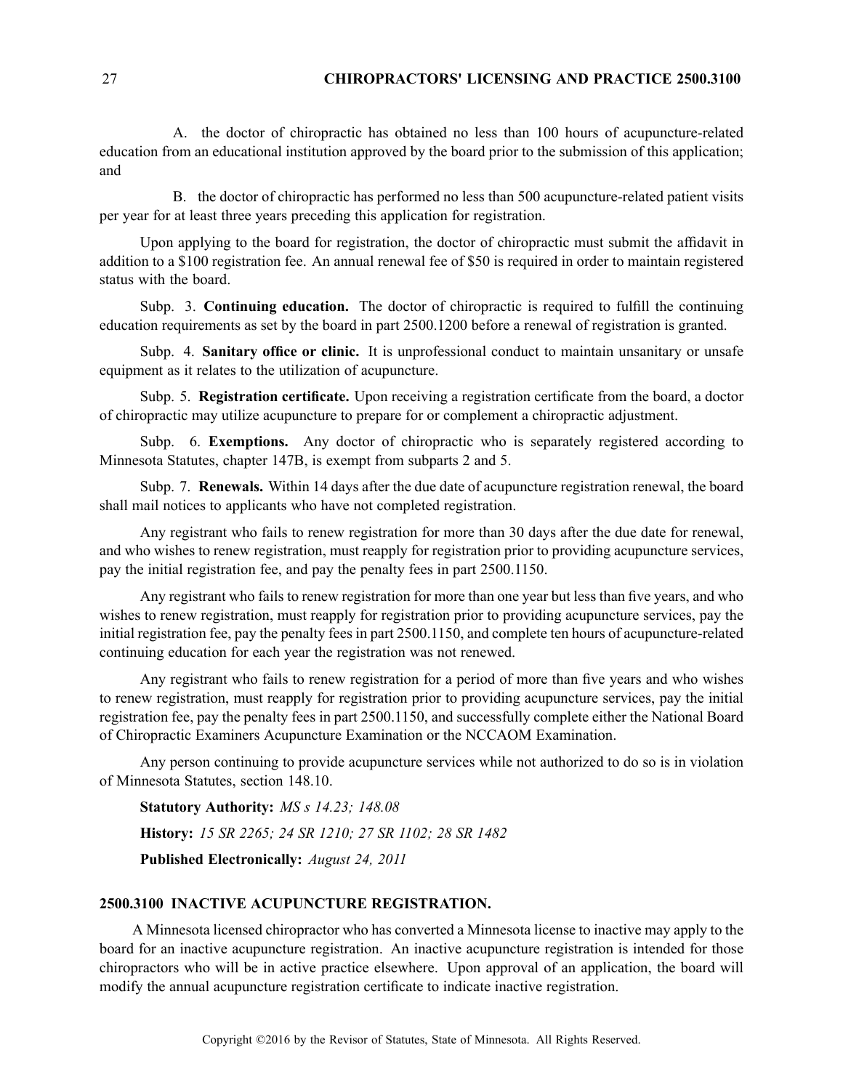# 27 **CHIROPRACTORS' LICENSING AND PRACTICE 2500.3100**

A. the doctor of chiropractic has obtained no less than 100 hours of acupuncture-related education from an educational institution approved by the board prior to the submission of this application; and

B. the doctor of chiropractic has performed no less than 500 acupuncture-related patient visits per year for at least three years preceding this application for registration.

Upon applying to the board for registration, the doctor of chiropractic must submit the affidavit in addition to <sup>a</sup> \$100 registration fee. An annual renewal fee of \$50 is required in order to maintain registered status with the board.

Subp. 3. **Continuing education.** The doctor of chiropractic is required to fulfill the continuing education requirements as set by the board in par<sup>t</sup> 2500.1200 before <sup>a</sup> renewal of registration is granted.

Subp. 4. **Sanitary office or clinic.** It is unprofessional conduct to maintain unsanitary or unsafe equipment as it relates to the utilization of acupuncture.

Subp. 5. **Registration certificate.** Upon receiving <sup>a</sup> registration certificate from the board, <sup>a</sup> doctor of chiropractic may utilize acupuncture to prepare for or complement <sup>a</sup> chiropractic adjustment.

Subp. 6. **Exemptions.** Any doctor of chiropractic who is separately registered according to Minnesota Statutes, chapter 147B, is exemp<sup>t</sup> from subparts 2 and 5.

Subp. 7. **Renewals.** Within 14 days after the due date of acupuncture registration renewal, the board shall mail notices to applicants who have not completed registration.

Any registrant who fails to renew registration for more than 30 days after the due date for renewal, and who wishes to renew registration, must reapply for registration prior to providing acupuncture services, pay the initial registration fee, and pay the penalty fees in par<sup>t</sup> 2500.1150.

Any registrant who fails to renew registration for more than one year but less than five years, and who wishes to renew registration, must reapply for registration prior to providing acupuncture services, pay the initial registration fee, pay the penalty fees in par<sup>t</sup> 2500.1150, and complete ten hours of acupuncture-related continuing education for each year the registration was not renewed.

Any registrant who fails to renew registration for <sup>a</sup> period of more than five years and who wishes to renew registration, must reapply for registration prior to providing acupuncture services, pay the initial registration fee, pay the penalty fees in par<sup>t</sup> 2500.1150, and successfully complete either the National Board of Chiropractic Examiners Acupuncture Examination or the NCCAOM Examination.

Any person continuing to provide acupuncture services while not authorized to do so is in violation of Minnesota Statutes, section 148.10.

**Statutory Authority:** *MS <sup>s</sup> 14.23; 148.08* **History:** *15 SR 2265; 24 SR 1210; 27 SR 1102; 28 SR 1482* **Published Electronically:** *August 24, 2011*

### **2500.3100 INACTIVE ACUPUNCTURE REGISTRATION.**

A Minnesota licensed chiropractor who has converted <sup>a</sup> Minnesota license to inactive may apply to the board for an inactive acupuncture registration. An inactive acupuncture registration is intended for those chiropractors who will be in active practice elsewhere. Upon approval of an application, the board will modify the annual acupuncture registration certificate to indicate inactive registration.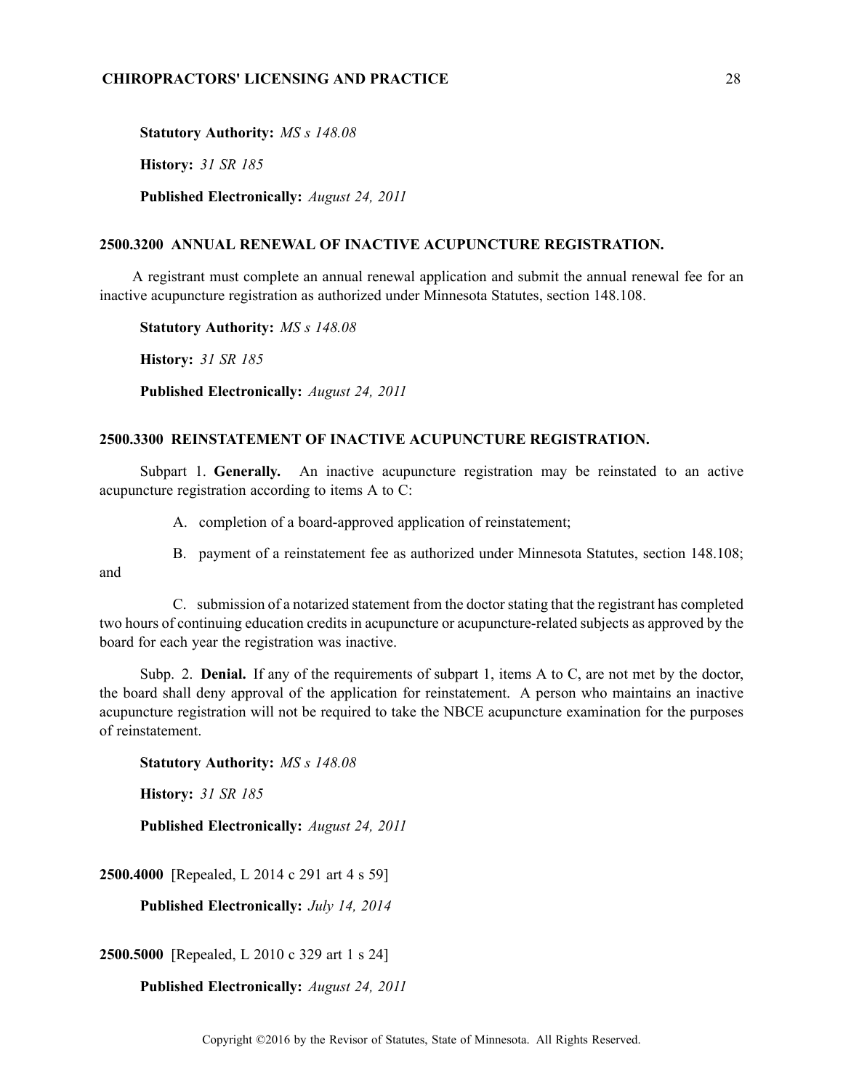# **CHIROPRACTORS' LICENSING AND PRACTICE** 28

**Statutory Authority:** *MS <sup>s</sup> 148.08* **History:** *31 SR 185* **Published Electronically:** *August 24, 2011*

# **2500.3200 ANNUAL RENEWAL OF INACTIVE ACUPUNCTURE REGISTRATION.**

A registrant must complete an annual renewal application and submit the annual renewal fee for an inactive acupuncture registration as authorized under Minnesota Statutes, section 148.108.

**Statutory Authority:** *MS <sup>s</sup> 148.08*

**History:** *31 SR 185*

**Published Electronically:** *August 24, 2011*

# **2500.3300 REINSTATEMENT OF INACTIVE ACUPUNCTURE REGISTRATION.**

Subpart 1. **Generally.** An inactive acupuncture registration may be reinstated to an active acupuncture registration according to items A to C:

A. completion of <sup>a</sup> board-approved application of reinstatement;

B. paymen<sup>t</sup> of <sup>a</sup> reinstatement fee as authorized under Minnesota Statutes, section 148.108;

and

C. submission of <sup>a</sup> notarized statement from the doctorstating that the registrant has completed two hours of continuing education credits in acupuncture or acupuncture-related subjects as approved by the board for each year the registration was inactive.

Subp. 2. **Denial.** If any of the requirements of subpart 1, items A to C, are not met by the doctor, the board shall deny approval of the application for reinstatement. A person who maintains an inactive acupuncture registration will not be required to take the NBCE acupuncture examination for the purposes of reinstatement.

**Statutory Authority:** *MS <sup>s</sup> 148.08*

**History:** *31 SR 185*

**Published Electronically:** *August 24, 2011*

**2500.4000** [Repealed, L 2014 <sup>c</sup> 291 art 4 <sup>s</sup> 59]

**Published Electronically:** *July 14, 2014*

**2500.5000** [Repealed, L 2010 <sup>c</sup> 329 art 1 <sup>s</sup> 24]

**Published Electronically:** *August 24, 2011*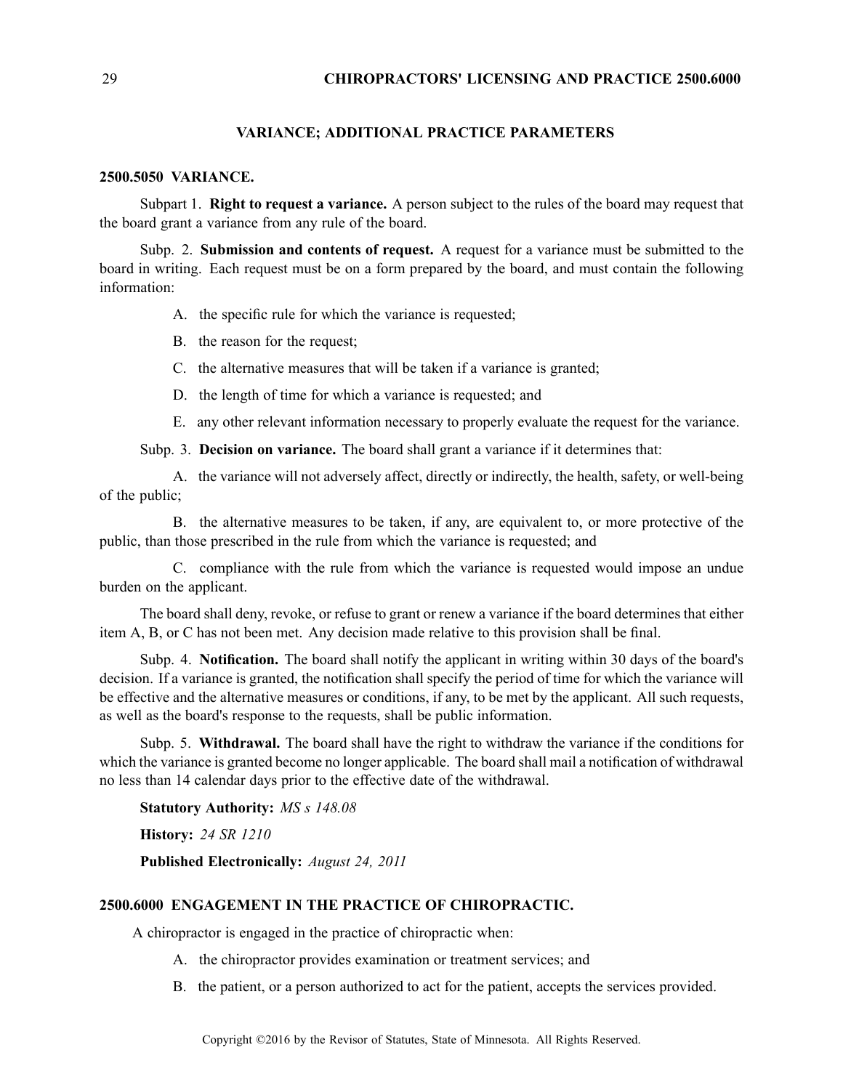#### **VARIANCE; ADDITIONAL PRACTICE PARAMETERS**

# **2500.5050 VARIANCE.**

Subpart 1. **Right to reques<sup>t</sup> <sup>a</sup> variance.** A person subject to the rules of the board may reques<sup>t</sup> that the board gran<sup>t</sup> <sup>a</sup> variance from any rule of the board.

Subp. 2. **Submission and contents of request.** A reques<sup>t</sup> for <sup>a</sup> variance must be submitted to the board in writing. Each reques<sup>t</sup> must be on <sup>a</sup> form prepared by the board, and must contain the following information:

- A. the specific rule for which the variance is requested;
- B. the reason for the request;
- C. the alternative measures that will be taken if <sup>a</sup> variance is granted;
- D. the length of time for which <sup>a</sup> variance is requested; and
- E. any other relevant information necessary to properly evaluate the reques<sup>t</sup> for the variance.

Subp. 3. **Decision on variance.** The board shall gran<sup>t</sup> <sup>a</sup> variance if it determines that:

A. the variance will not adversely affect, directly or indirectly, the health, safety, or well-being of the public;

B. the alternative measures to be taken, if any, are equivalent to, or more protective of the public, than those prescribed in the rule from which the variance is requested; and

C. compliance with the rule from which the variance is requested would impose an undue burden on the applicant.

The board shall deny, revoke, or refuse to gran<sup>t</sup> or renew <sup>a</sup> variance if the board determines that either item A, B, or C has not been met. Any decision made relative to this provision shall be final.

Subp. 4. **Notification.** The board shall notify the applicant in writing within 30 days of the board's decision. If <sup>a</sup> variance is granted, the notification shall specify the period of time for which the variance will be effective and the alternative measures or conditions, if any, to be met by the applicant. All such requests, as well as the board's response to the requests, shall be public information.

Subp. 5. **Withdrawal.** The board shall have the right to withdraw the variance if the conditions for which the variance is granted become no longer applicable. The board shall mail <sup>a</sup> notification of withdrawal no less than 14 calendar days prior to the effective date of the withdrawal.

**Statutory Authority:** *MS <sup>s</sup> 148.08*

**History:** *24 SR 1210*

**Published Electronically:** *August 24, 2011*

# **2500.6000 ENGAGEMENT IN THE PRACTICE OF CHIROPRACTIC.**

A chiropractor is engaged in the practice of chiropractic when:

- A. the chiropractor provides examination or treatment services; and
- B. the patient, or <sup>a</sup> person authorized to act for the patient, accepts the services provided.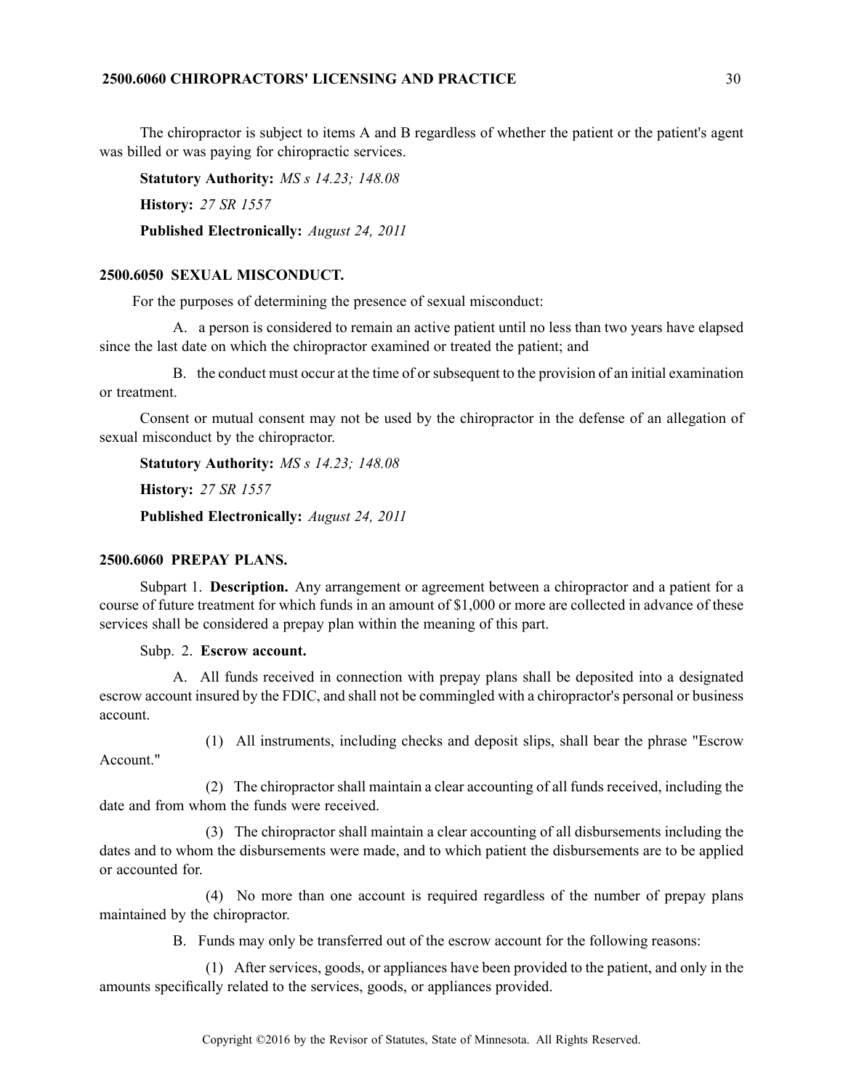The chiropractor is subject to items A and B regardless of whether the patient or the patient's agen<sup>t</sup> was billed or was paying for chiropractic services.

**Statutory Authority:** *MS <sup>s</sup> 14.23; 148.08* **History:** *27 SR 1557* **Published Electronically:** *August 24, 2011*

# **2500.6050 SEXUAL MISCONDUCT.**

For the purposes of determining the presence of sexual misconduct:

A. <sup>a</sup> person is considered to remain an active patient until no less than two years have elapsed since the last date on which the chiropractor examined or treated the patient; and

B. the conduct must occur at the time of orsubsequent to the provision of an initial examination or treatment.

Consent or mutual consent may not be used by the chiropractor in the defense of an allegation of sexual misconduct by the chiropractor.

**Statutory Authority:** *MS <sup>s</sup> 14.23; 148.08* **History:** *27 SR 1557* **Published Electronically:** *August 24, 2011*

# **2500.6060 PREPAY PLANS.**

Subpart 1. **Description.** Any arrangemen<sup>t</sup> or agreemen<sup>t</sup> between <sup>a</sup> chiropractor and <sup>a</sup> patient for <sup>a</sup> course of future treatment for which funds in an amount of \$1,000 or more are collected in advance of these services shall be considered <sup>a</sup> prepay plan within the meaning of this part.

Subp. 2. **Escrow account.**

A. All funds received in connection with prepay plans shall be deposited into <sup>a</sup> designated escrow account insured by the FDIC, and shall not be commingled with <sup>a</sup> chiropractor's personal or business account.

Account."

(1) All instruments, including checks and deposit slips, shall bear the phrase "Escrow

(2) The chiropractor shall maintain <sup>a</sup> clear accounting of all funds received, including the date and from whom the funds were received.

(3) The chiropractor shall maintain <sup>a</sup> clear accounting of all disbursements including the dates and to whom the disbursements were made, and to which patient the disbursements are to be applied or accounted for.

(4) No more than one account is required regardless of the number of prepay plans maintained by the chiropractor.

B. Funds may only be transferred out of the escrow account for the following reasons:

(1) After services, goods, or appliances have been provided to the patient, and only in the amounts specifically related to the services, goods, or appliances provided.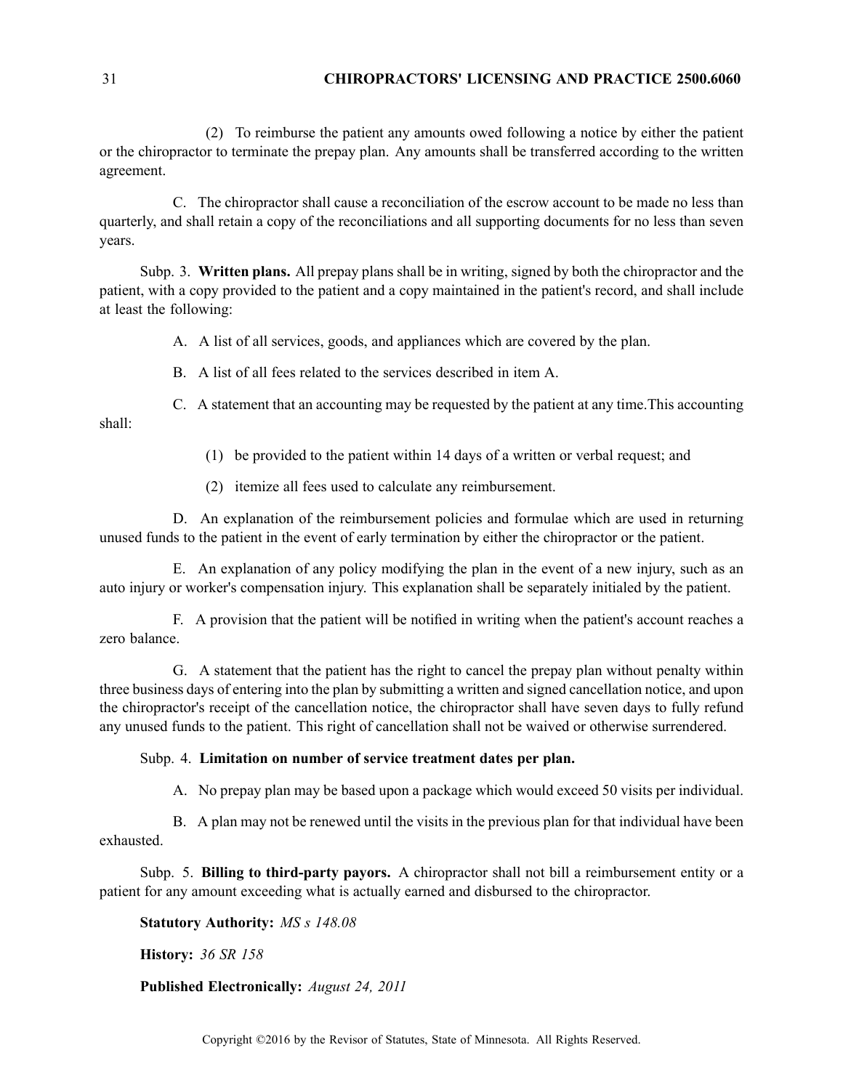# 31 **CHIROPRACTORS' LICENSING AND PRACTICE 2500.6060**

(2) To reimburse the patient any amounts owed following <sup>a</sup> notice by either the patient or the chiropractor to terminate the prepay plan. Any amounts shall be transferred according to the written agreement.

C. The chiropractor shall cause <sup>a</sup> reconciliation of the escrow account to be made no less than quarterly, and shall retain <sup>a</sup> copy of the reconciliations and all supporting documents for no less than seven years.

Subp. 3. **Written plans.** All prepay plans shall be in writing, signed by both the chiropractor and the patient, with <sup>a</sup> copy provided to the patient and <sup>a</sup> copy maintained in the patient's record, and shall include at least the following:

A. A list of all services, goods, and appliances which are covered by the plan.

B. A list of all fees related to the services described in item A.

C. A statement that an accounting may be requested by the patient at any time.This accounting shall:

- (1) be provided to the patient within 14 days of <sup>a</sup> written or verbal request; and
- (2) itemize all fees used to calculate any reimbursement.

D. An explanation of the reimbursement policies and formulae which are used in returning unused funds to the patient in the event of early termination by either the chiropractor or the patient.

E. An explanation of any policy modifying the plan in the event of <sup>a</sup> new injury, such as an auto injury or worker's compensation injury. This explanation shall be separately initialed by the patient.

F. A provision that the patient will be notified in writing when the patient's account reaches <sup>a</sup> zero balance.

G. A statement that the patient has the right to cancel the prepay plan without penalty within three business days of entering into the plan by submitting <sup>a</sup> written and signed cancellation notice, and upon the chiropractor's receipt of the cancellation notice, the chiropractor shall have seven days to fully refund any unused funds to the patient. This right of cancellation shall not be waived or otherwise surrendered.

#### Subp. 4. **Limitation on number of service treatment dates per plan.**

A. No prepay plan may be based upon <sup>a</sup> package which would exceed 50 visits per individual.

B. A plan may not be renewed until the visits in the previous plan for that individual have been exhausted.

Subp. 5. **Billing to third-party payors.** A chiropractor shall not bill <sup>a</sup> reimbursement entity or <sup>a</sup> patient for any amount exceeding what is actually earned and disbursed to the chiropractor.

**Statutory Authority:** *MS <sup>s</sup> 148.08*

**History:** *36 SR 158*

### **Published Electronically:** *August 24, 2011*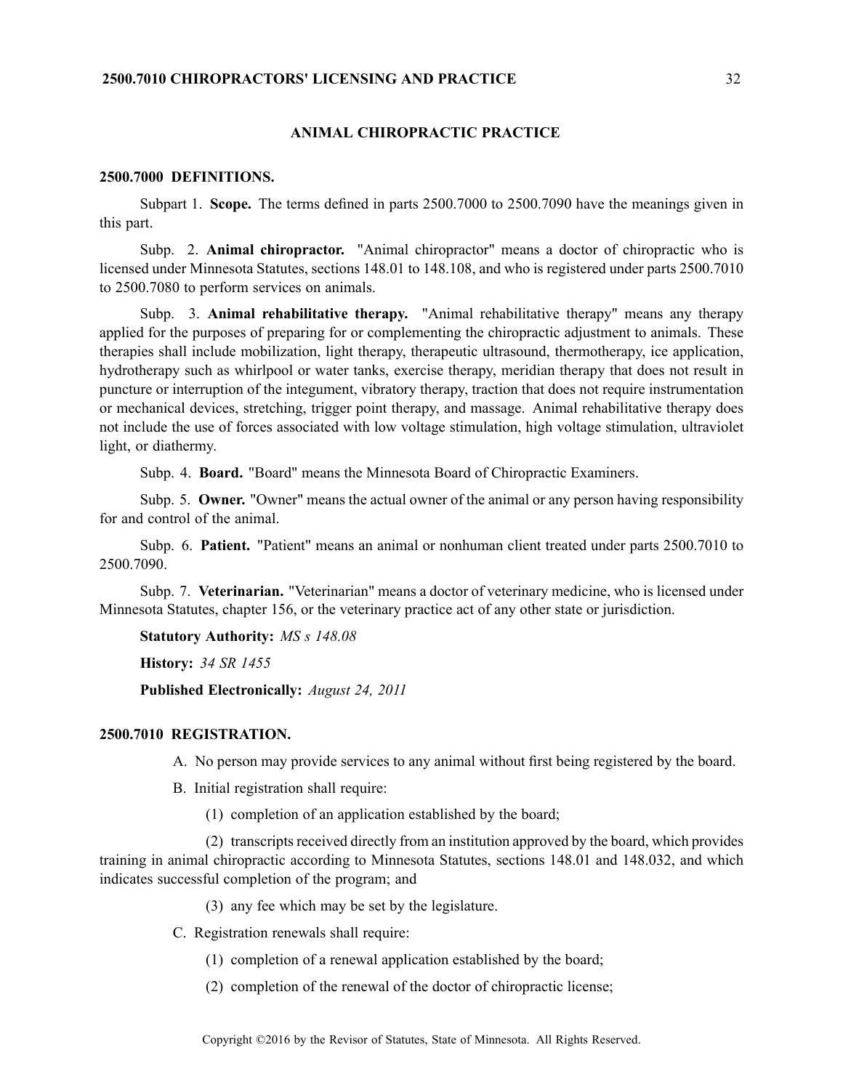#### **ANIMAL CHIROPRACTIC PRACTICE**

#### **2500.7000 DEFINITIONS.**

Subpart 1. **Scope.** The terms defined in parts 2500.7000 to 2500.7090 have the meanings given in this part.

Subp. 2. **Animal chiropractor.** "Animal chiropractor" means <sup>a</sup> doctor of chiropractic who is licensed under Minnesota Statutes, sections 148.01 to 148.108, and who is registered under parts 2500.7010 to 2500.7080 to perform services on animals.

Subp. 3. **Animal rehabilitative therapy.** "Animal rehabilitative therapy" means any therapy applied for the purposes of preparing for or complementing the chiropractic adjustment to animals. These therapies shall include mobilization, light therapy, therapeutic ultrasound, thermotherapy, ice application, hydrotherapy such as whirlpool or water tanks, exercise therapy, meridian therapy that does not result in puncture or interruption of the integument, vibratory therapy, traction that does not require instrumentation or mechanical devices, stretching, trigger point therapy, and massage. Animal rehabilitative therapy does not include the use of forces associated with low voltage stimulation, high voltage stimulation, ultraviolet light, or diathermy.

Subp. 4. **Board.** "Board" means the Minnesota Board of Chiropractic Examiners.

Subp. 5. **Owner.** "Owner" means the actual owner of the animal or any person having responsibility for and control of the animal.

Subp. 6. **Patient.** "Patient" means an animal or nonhuman client treated under parts 2500.7010 to 2500.7090.

Subp. 7. **Veterinarian.** "Veterinarian" means <sup>a</sup> doctor of veterinary medicine, who is licensed under Minnesota Statutes, chapter 156, or the veterinary practice act of any other state or jurisdiction.

**Statutory Authority:** *MS <sup>s</sup> 148.08*

**History:** *34 SR 1455*

**Published Electronically:** *August 24, 2011*

#### **2500.7010 REGISTRATION.**

A. No person may provide services to any animal without first being registered by the board.

B. Initial registration shall require:

(1) completion of an application established by the board;

 $(2)$  transcripts received directly from an institution approved by the board, which provides training in animal chiropractic according to Minnesota Statutes, sections 148.01 and 148.032, and which indicates successful completion of the program; and

(3) any fee which may be set by the legislature.

C. Registration renewals shall require:

(1) completion of <sup>a</sup> renewal application established by the board;

(2) completion of the renewal of the doctor of chiropractic license;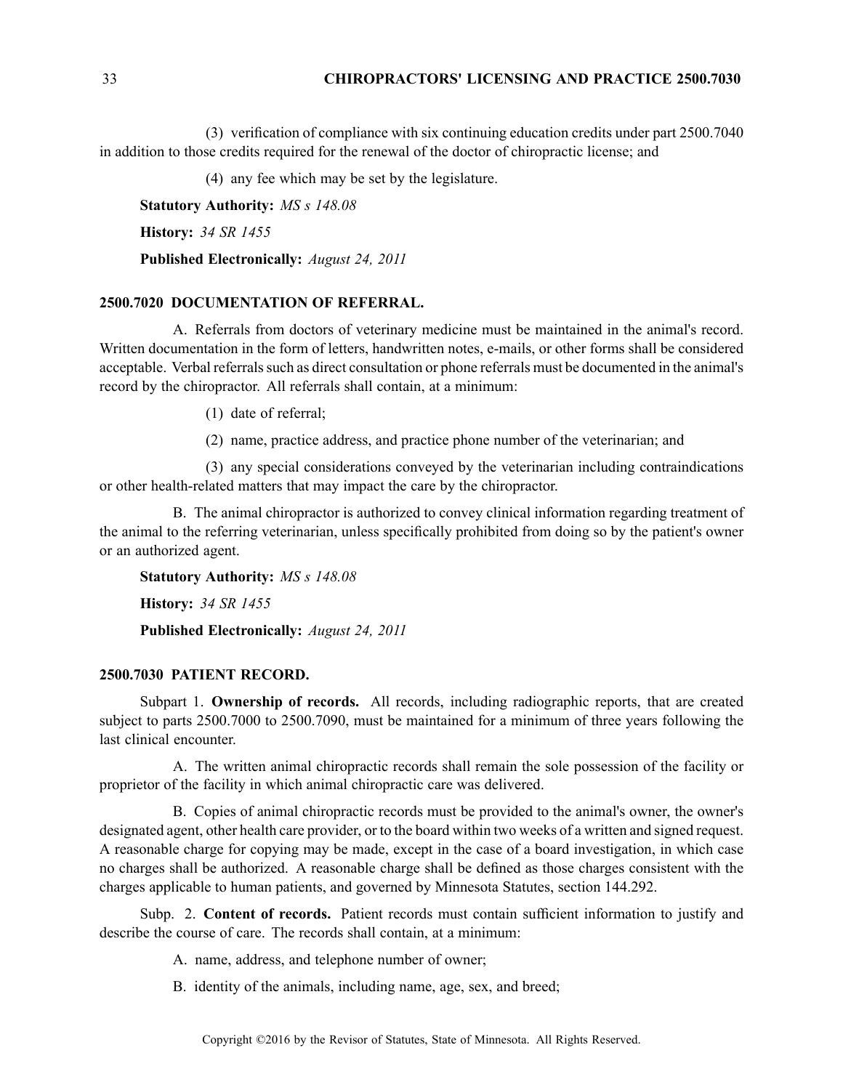### 33 **CHIROPRACTORS' LICENSING AND PRACTICE 2500.7030**

(3) verification of compliance with six continuing education credits under par<sup>t</sup> 2500.7040 in addition to those credits required for the renewal of the doctor of chiropractic license; and

(4) any fee which may be set by the legislature.

**Statutory Authority:** *MS <sup>s</sup> 148.08*

**History:** *34 SR 1455*

**Published Electronically:** *August 24, 2011*

# **2500.7020 DOCUMENTATION OF REFERRAL.**

A. Referrals from doctors of veterinary medicine must be maintained in the animal's record. Written documentation in the form of letters, handwritten notes, e-mails, or other forms shall be considered acceptable. Verbal referrals such as direct consultation or phone referrals must be documented in the animal's record by the chiropractor. All referrals shall contain, at <sup>a</sup> minimum:

(1) date of referral;

(2) name, practice address, and practice phone number of the veterinarian; and

(3) any special considerations conveyed by the veterinarian including contraindications or other health-related matters that may impact the care by the chiropractor.

B. The animal chiropractor is authorized to convey clinical information regarding treatment of the animal to the referring veterinarian, unless specifically prohibited from doing so by the patient's owner or an authorized agent.

**Statutory Authority:** *MS <sup>s</sup> 148.08* **History:** *34 SR 1455* **Published Electronically:** *August 24, 2011*

#### **2500.7030 PATIENT RECORD.**

Subpart 1. **Ownership of records.** All records, including radiographic reports, that are created subject to parts 2500.7000 to 2500.7090, must be maintained for <sup>a</sup> minimum of three years following the last clinical encounter.

A. The written animal chiropractic records shall remain the sole possession of the facility or proprietor of the facility in which animal chiropractic care was delivered.

B. Copies of animal chiropractic records must be provided to the animal's owner, the owner's designated agent, other health care provider, or to the board within two weeks of <sup>a</sup> written and signed request. A reasonable charge for copying may be made, excep<sup>t</sup> in the case of <sup>a</sup> board investigation, in which case no charges shall be authorized. A reasonable charge shall be defined as those charges consistent with the charges applicable to human patients, and governed by Minnesota Statutes, section 144.292.

Subp. 2. **Content of records.** Patient records must contain sufficient information to justify and describe the course of care. The records shall contain, at <sup>a</sup> minimum:

A. name, address, and telephone number of owner;

B. identity of the animals, including name, age, sex, and breed;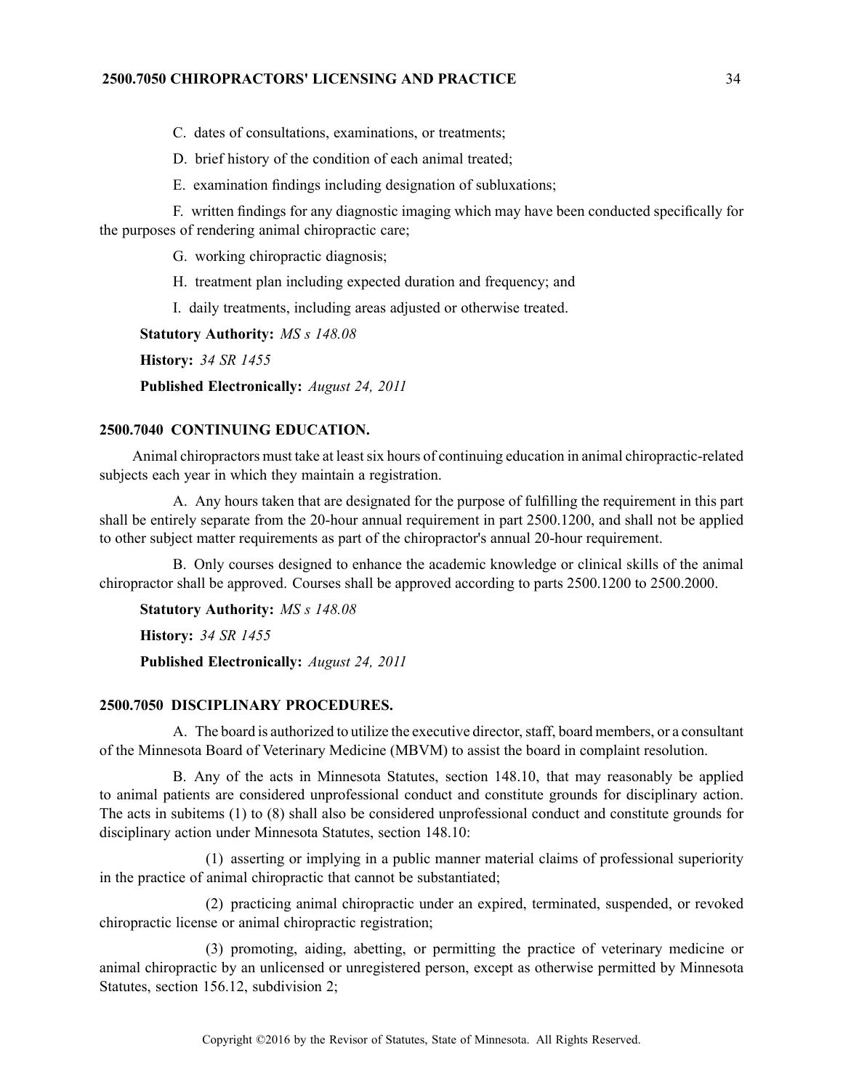# **2500.7050 CHIROPRACTORS' LICENSING AND PRACTICE** 34

C. dates of consultations, examinations, or treatments;

D. brief history of the condition of each animal treated;

E. examination findings including designation of subluxations;

F. written findings for any diagnostic imaging which may have been conducted specifically for the purposes of rendering animal chiropractic care;

G. working chiropractic diagnosis;

H. treatment plan including expected duration and frequency; and

I. daily treatments, including areas adjusted or otherwise treated.

**Statutory Authority:** *MS <sup>s</sup> 148.08*

**History:** *34 SR 1455*

**Published Electronically:** *August 24, 2011*

#### **2500.7040 CONTINUING EDUCATION.**

Animal chiropractors must take at least six hours of continuing education in animal chiropractic-related subjects each year in which they maintain <sup>a</sup> registration.

A. Any hours taken that are designated for the purpose of fulfilling the requirement in this par<sup>t</sup> shall be entirely separate from the 20-hour annual requirement in par<sup>t</sup> 2500.1200, and shall not be applied to other subject matter requirements as par<sup>t</sup> of the chiropractor's annual 20-hour requirement.

B. Only courses designed to enhance the academic knowledge or clinical skills of the animal chiropractor shall be approved. Courses shall be approved according to parts 2500.1200 to 2500.2000.

**Statutory Authority:** *MS <sup>s</sup> 148.08* **History:** *34 SR 1455* **Published Electronically:** *August 24, 2011*

# **2500.7050 DISCIPLINARY PROCEDURES.**

A. The board is authorized to utilize the executive director,staff, board members, or <sup>a</sup> consultant of the Minnesota Board of Veterinary Medicine (MBVM) to assist the board in complaint resolution.

B. Any of the acts in Minnesota Statutes, section 148.10, that may reasonably be applied to animal patients are considered unprofessional conduct and constitute grounds for disciplinary action. The acts in subitems (1) to (8) shall also be considered unprofessional conduct and constitute grounds for disciplinary action under Minnesota Statutes, section 148.10:

(1) asserting or implying in <sup>a</sup> public manner material claims of professional superiority in the practice of animal chiropractic that cannot be substantiated;

(2) practicing animal chiropractic under an expired, terminated, suspended, or revoked chiropractic license or animal chiropractic registration;

(3) promoting, aiding, abetting, or permitting the practice of veterinary medicine or animal chiropractic by an unlicensed or unregistered person, excep<sup>t</sup> as otherwise permitted by Minnesota Statutes, section 156.12, subdivision 2;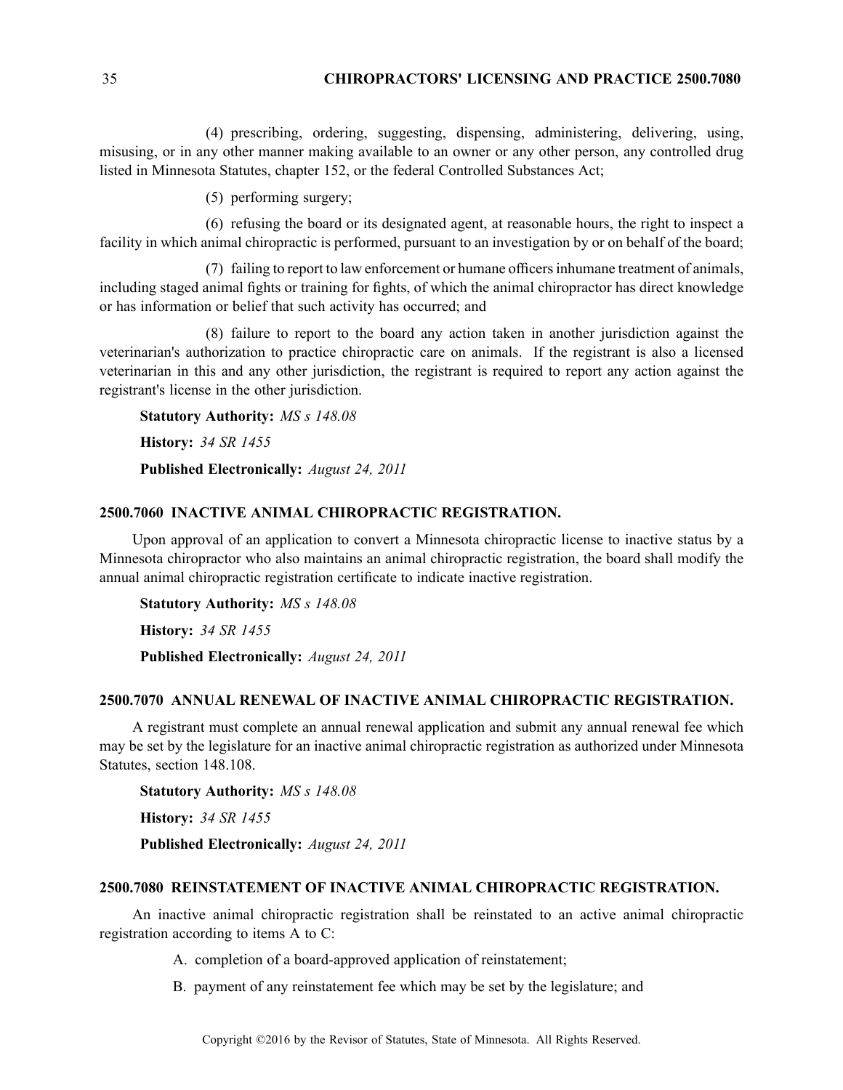# 35 **CHIROPRACTORS' LICENSING AND PRACTICE 2500.7080**

(4) prescribing, ordering, suggesting, dispensing, administering, delivering, using, misusing, or in any other manner making available to an owner or any other person, any controlled drug listed in Minnesota Statutes, chapter 152, or the federal Controlled Substances Act;

(5) performing surgery;

(6) refusing the board or its designated agent, at reasonable hours, the right to inspect <sup>a</sup> facility in which animal chiropractic is performed, pursuan<sup>t</sup> to an investigation by or on behalf of the board;

(7) failing to repor<sup>t</sup> to law enforcement or humane officersinhumane treatment of animals, including staged animal fights or training for fights, of which the animal chiropractor has direct knowledge or has information or belief that such activity has occurred; and

(8) failure to repor<sup>t</sup> to the board any action taken in another jurisdiction against the veterinarian's authorization to practice chiropractic care on animals. If the registrant is also <sup>a</sup> licensed veterinarian in this and any other jurisdiction, the registrant is required to repor<sup>t</sup> any action against the registrant's license in the other jurisdiction.

**Statutory Authority:** *MS <sup>s</sup> 148.08* **History:** *34 SR 1455* **Published Electronically:** *August 24, 2011*

#### **2500.7060 INACTIVE ANIMAL CHIROPRACTIC REGISTRATION.**

Upon approval of an application to convert <sup>a</sup> Minnesota chiropractic license to inactive status by <sup>a</sup> Minnesota chiropractor who also maintains an animal chiropractic registration, the board shall modify the annual animal chiropractic registration certificate to indicate inactive registration.

**Statutory Authority:** *MS <sup>s</sup> 148.08*

**History:** *34 SR 1455*

**Published Electronically:** *August 24, 2011*

#### **2500.7070 ANNUAL RENEWAL OF INACTIVE ANIMAL CHIROPRACTIC REGISTRATION.**

A registrant must complete an annual renewal application and submit any annual renewal fee which may be set by the legislature for an inactive animal chiropractic registration as authorized under Minnesota Statutes, section 148.108.

**Statutory Authority:** *MS <sup>s</sup> 148.08* **History:** *34 SR 1455* **Published Electronically:** *August 24, 2011*

#### **2500.7080 REINSTATEMENT OF INACTIVE ANIMAL CHIROPRACTIC REGISTRATION.**

An inactive animal chiropractic registration shall be reinstated to an active animal chiropractic registration according to items A to C:

A. completion of <sup>a</sup> board-approved application of reinstatement;

B. paymen<sup>t</sup> of any reinstatement fee which may be set by the legislature; and